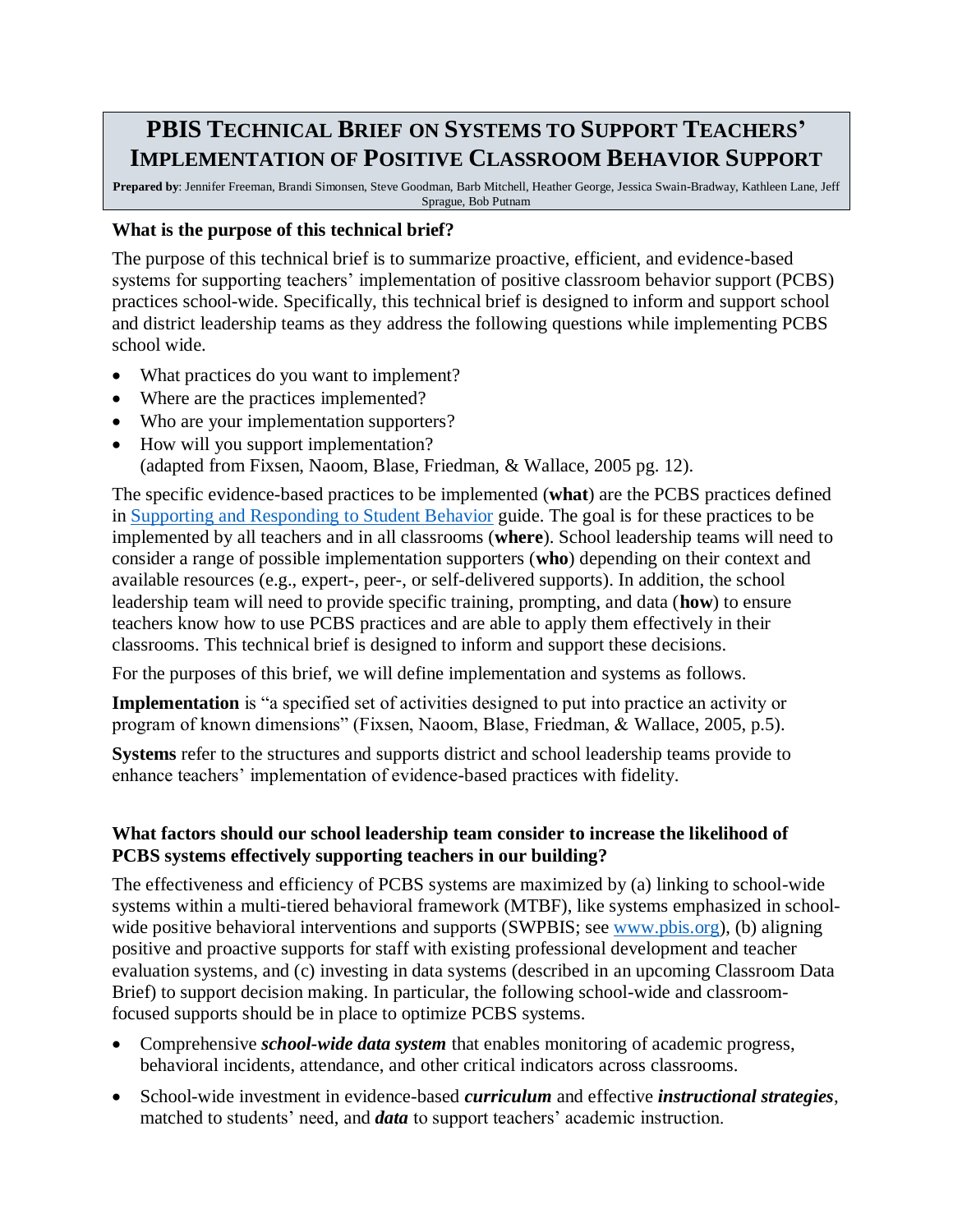# **PBIS TECHNICAL BRIEF ON SYSTEMS TO SUPPORT TEACHERS' IMPLEMENTATION OF POSITIVE CLASSROOM BEHAVIOR SUPPORT**

**Prepared by**: Jennifer Freeman, Brandi Simonsen, Steve Goodman, Barb Mitchell, Heather George, Jessica Swain-Bradway, Kathleen Lane, Jeff Sprague, Bob Putnam

### **What is the purpose of this technical brief?**

The purpose of this technical brief is to summarize proactive, efficient, and evidence-based systems for supporting teachers' implementation of positive classroom behavior support (PCBS) practices school-wide. Specifically, this technical brief is designed to inform and support school and district leadership teams as they address the following questions while implementing PCBS school wide.

- What practices do you want to implement?
- Where are the practices implemented?
- Who are your implementation supporters?
- How will you support implementation? (adapted from Fixsen, Naoom, Blase, Friedman, & Wallace, 2005 pg. 12).

The specific evidence-based practices to be implemented (**what**) are the PCBS practices defined in [Supporting and Responding to Student Behavior](http://www.pbis.org/common/cms/files/pbisresources/Supporting%20and%20Responding%20to%20Behavior.pdf) guide. The goal is for these practices to be implemented by all teachers and in all classrooms (**where**). School leadership teams will need to consider a range of possible implementation supporters (**who**) depending on their context and available resources (e.g., expert-, peer-, or self-delivered supports). In addition, the school leadership team will need to provide specific training, prompting, and data (**how**) to ensure teachers know how to use PCBS practices and are able to apply them effectively in their classrooms. This technical brief is designed to inform and support these decisions.

For the purposes of this brief, we will define implementation and systems as follows.

**Implementation** is "a specified set of activities designed to put into practice an activity or program of known dimensions" (Fixsen, Naoom, Blase, Friedman, & Wallace, 2005, p.5).

**Systems** refer to the structures and supports district and school leadership teams provide to enhance teachers' implementation of evidence-based practices with fidelity.

# **What factors should our school leadership team consider to increase the likelihood of PCBS systems effectively supporting teachers in our building?**

The effectiveness and efficiency of PCBS systems are maximized by (a) linking to school-wide systems within a multi-tiered behavioral framework (MTBF), like systems emphasized in schoolwide positive behavioral interventions and supports (SWPBIS; see [www.pbis.org\)](http://www.pbis.org/), (b) aligning positive and proactive supports for staff with existing professional development and teacher evaluation systems, and (c) investing in data systems (described in an upcoming Classroom Data Brief) to support decision making. In particular, the following school-wide and classroomfocused supports should be in place to optimize PCBS systems.

- Comprehensive *school-wide data system* that enables monitoring of academic progress, behavioral incidents, attendance, and other critical indicators across classrooms.
- School-wide investment in evidence-based *curriculum* and effective *instructional strategies*, matched to students' need, and *data* to support teachers' academic instruction.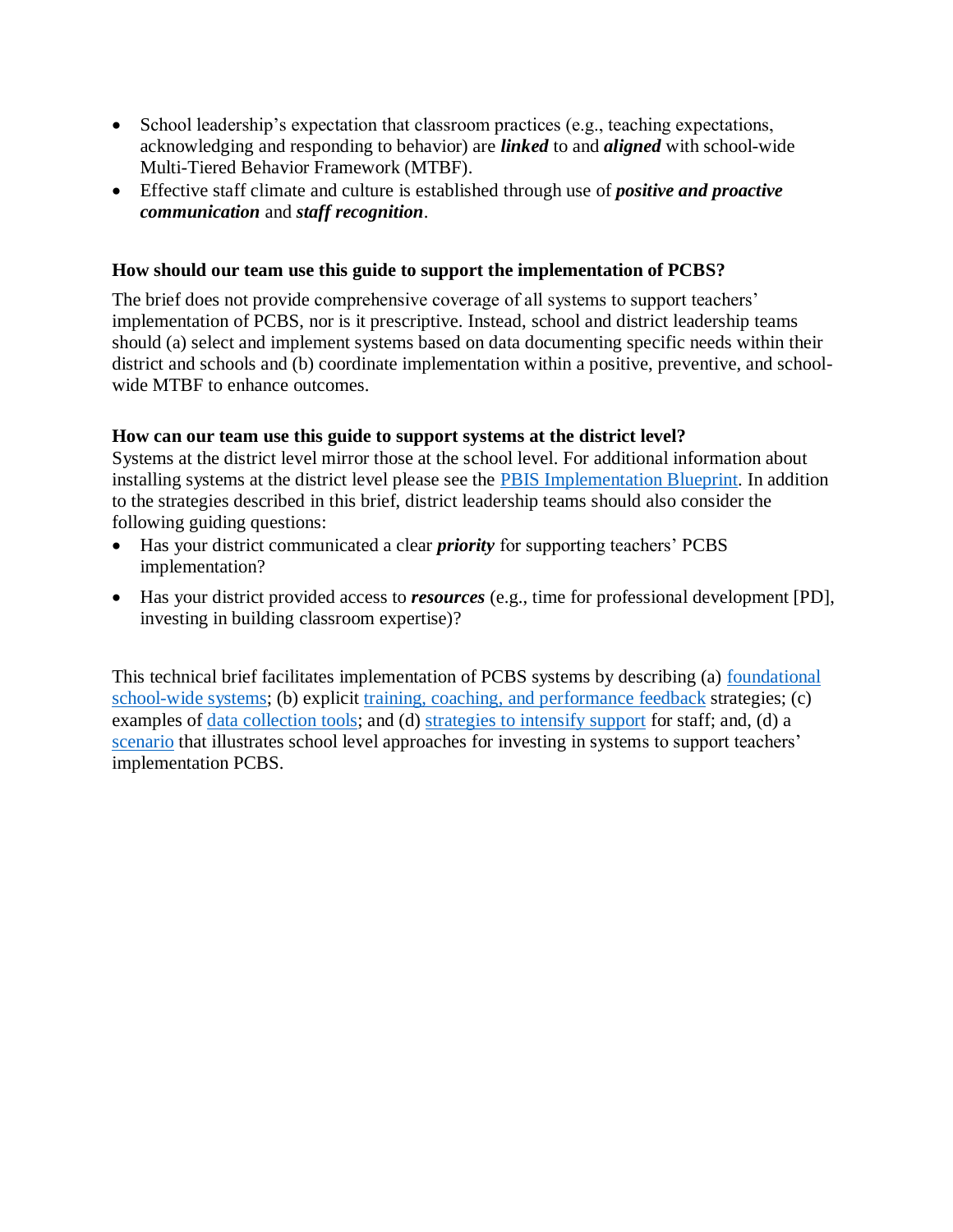- School leadership's expectation that classroom practices (e.g., teaching expectations, acknowledging and responding to behavior) are *linked* to and *aligned* with school-wide Multi-Tiered Behavior Framework (MTBF).
- Effective staff climate and culture is established through use of *positive and proactive communication* and *staff recognition*.

## **How should our team use this guide to support the implementation of PCBS?**

The brief does not provide comprehensive coverage of all systems to support teachers' implementation of PCBS, nor is it prescriptive. Instead, school and district leadership teams should (a) select and implement systems based on data documenting specific needs within their district and schools and (b) coordinate implementation within a positive, preventive, and schoolwide MTBF to enhance outcomes.

### **How can our team use this guide to support systems at the district level?**

Systems at the district level mirror those at the school level. For additional information about installing systems at the district level please see the [PBIS Implementation Blueprint.](http://www.pbis.org/blueprint/implementation-blueprint) In addition to the strategies described in this brief, district leadership teams should also consider the following guiding questions:

- Has your district communicated a clear *priority* for supporting teachers' PCBS implementation?
- Has your district provided access to *resources* (e.g., time for professional development [PD], investing in building classroom expertise)?

This technical brief facilitates implementation of PCBS systems by describing (a) [foundational](#page-3-0)  [school-wide systems;](#page-3-0) (b) explicit training, coaching, [and performance feedback](#page-4-0) strategies; (c) examples of <u>data collection tools</u>; and (d) [strategies to intensify support](#page-10-0) for staff; and, (d) a [scenario](#page-12-0) that illustrates school level approaches for investing in systems to support teachers' implementation PCBS.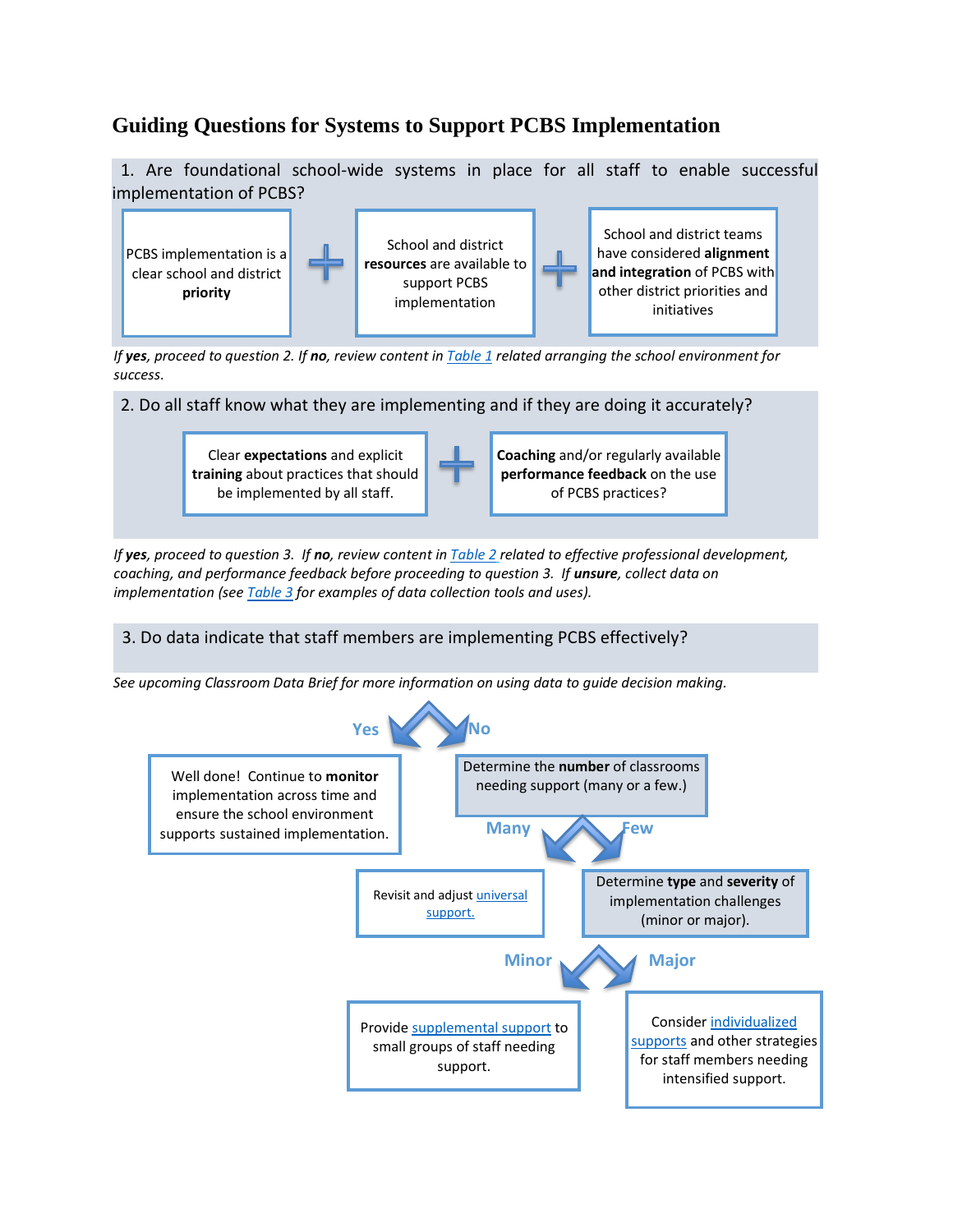# **Guiding Questions for Systems to Support PCBS Implementation**

 1. Are foundational school-wide systems in place for all staff to enable successful implementation of PCBS?



*If yes, proceed to question 2. If no, review content in [Table 1](#page-3-0) related arranging the school environment for success.*



Clear **expectations** and explicit **training** about practices that should be implemented by all staff.



*If yes, proceed to question 3. If no, review content i[n Table 2](#page-4-0) related to effective professional development, coaching, and performance feedback before proceeding to question 3. If unsure, collect data on implementation (se[e Table 3](#page-9-0) for examples of data collection tools and uses).*

# 3. Do data indicate that staff members are implementing PCBS effectively?

*See upcoming Classroom Data Brief for more information on using data to guide decision making.*

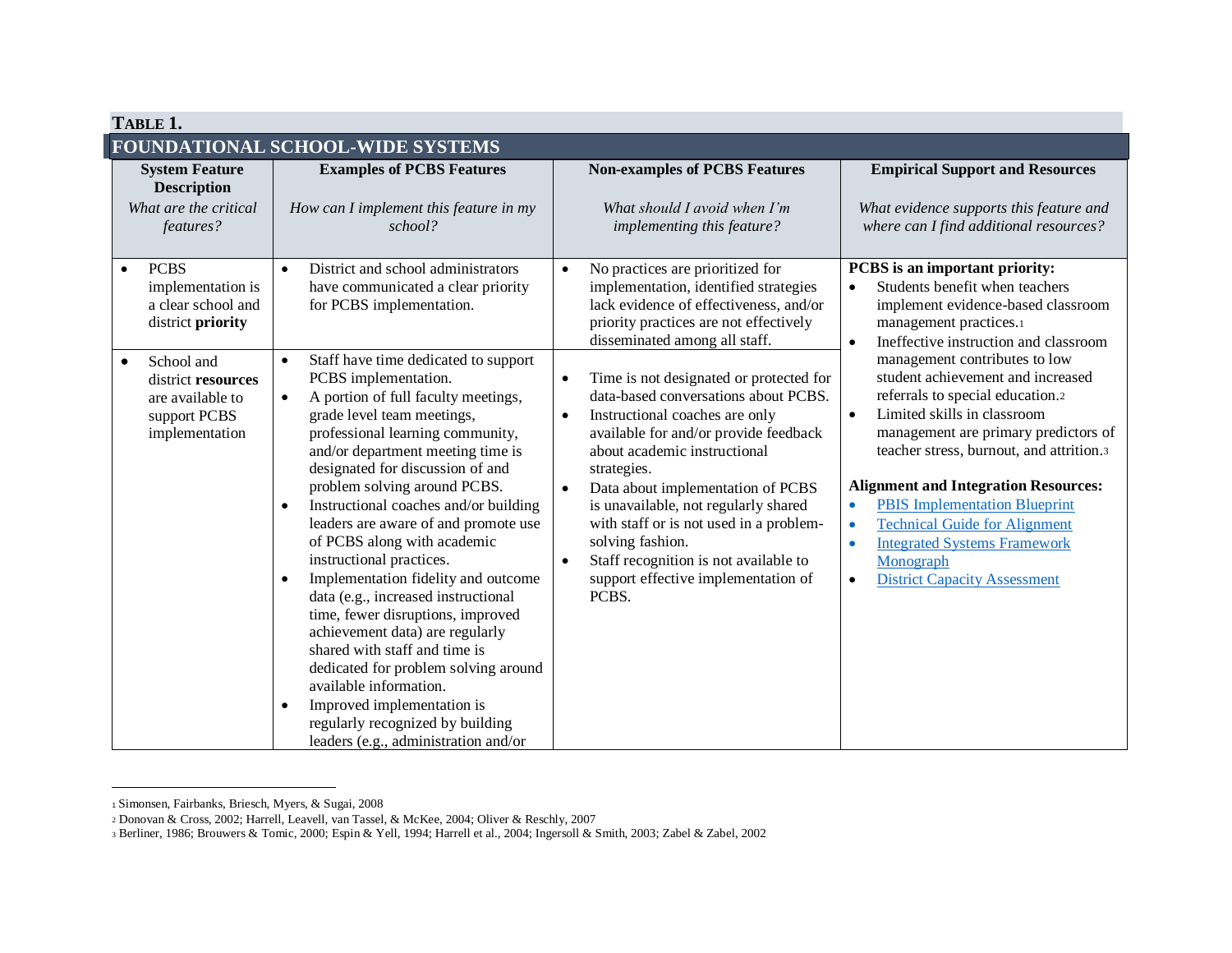<span id="page-3-0"></span>

| TABLE 1.                                                                                            |                                                                                                                                                                                                                                                                                                                                                                                                                                                                                                                                                                                                                                                                                                                                                                                                                                                                |                                                                                                                                                                                                                                                                                                                                                                                                                                                                                                    |                                                                                                                                                                                                                                                                                                                                                                                                                                                                                                              |  |  |  |  |
|-----------------------------------------------------------------------------------------------------|----------------------------------------------------------------------------------------------------------------------------------------------------------------------------------------------------------------------------------------------------------------------------------------------------------------------------------------------------------------------------------------------------------------------------------------------------------------------------------------------------------------------------------------------------------------------------------------------------------------------------------------------------------------------------------------------------------------------------------------------------------------------------------------------------------------------------------------------------------------|----------------------------------------------------------------------------------------------------------------------------------------------------------------------------------------------------------------------------------------------------------------------------------------------------------------------------------------------------------------------------------------------------------------------------------------------------------------------------------------------------|--------------------------------------------------------------------------------------------------------------------------------------------------------------------------------------------------------------------------------------------------------------------------------------------------------------------------------------------------------------------------------------------------------------------------------------------------------------------------------------------------------------|--|--|--|--|
| FOUNDATIONAL SCHOOL-WIDE SYSTEMS                                                                    |                                                                                                                                                                                                                                                                                                                                                                                                                                                                                                                                                                                                                                                                                                                                                                                                                                                                |                                                                                                                                                                                                                                                                                                                                                                                                                                                                                                    |                                                                                                                                                                                                                                                                                                                                                                                                                                                                                                              |  |  |  |  |
| <b>System Feature</b><br><b>Description</b><br>What are the critical<br>features?                   | <b>Examples of PCBS Features</b><br>How can I implement this feature in my<br>school?                                                                                                                                                                                                                                                                                                                                                                                                                                                                                                                                                                                                                                                                                                                                                                          | <b>Non-examples of PCBS Features</b><br>What should I avoid when I'm<br>implementing this feature?                                                                                                                                                                                                                                                                                                                                                                                                 | <b>Empirical Support and Resources</b><br>What evidence supports this feature and<br>where can I find additional resources?                                                                                                                                                                                                                                                                                                                                                                                  |  |  |  |  |
| <b>PCBS</b><br>$\bullet$<br>implementation is<br>a clear school and<br>district priority            | District and school administrators<br>$\bullet$<br>have communicated a clear priority<br>for PCBS implementation.                                                                                                                                                                                                                                                                                                                                                                                                                                                                                                                                                                                                                                                                                                                                              | No practices are prioritized for<br>$\bullet$<br>implementation, identified strategies<br>lack evidence of effectiveness, and/or<br>priority practices are not effectively<br>disseminated among all staff.                                                                                                                                                                                                                                                                                        | PCBS is an important priority:<br>Students benefit when teachers<br>$\bullet$<br>implement evidence-based classroom<br>management practices.1<br>Ineffective instruction and classroom<br>$\bullet$                                                                                                                                                                                                                                                                                                          |  |  |  |  |
| School and<br>$\bullet$<br>district resources<br>are available to<br>support PCBS<br>implementation | Staff have time dedicated to support<br>$\bullet$<br>PCBS implementation.<br>A portion of full faculty meetings,<br>$\bullet$<br>grade level team meetings,<br>professional learning community,<br>and/or department meeting time is<br>designated for discussion of and<br>problem solving around PCBS.<br>Instructional coaches and/or building<br>$\bullet$<br>leaders are aware of and promote use<br>of PCBS along with academic<br>instructional practices.<br>Implementation fidelity and outcome<br>$\bullet$<br>data (e.g., increased instructional<br>time, fewer disruptions, improved<br>achievement data) are regularly<br>shared with staff and time is<br>dedicated for problem solving around<br>available information.<br>Improved implementation is<br>$\bullet$<br>regularly recognized by building<br>leaders (e.g., administration and/or | Time is not designated or protected for<br>$\bullet$<br>data-based conversations about PCBS.<br>Instructional coaches are only<br>$\bullet$<br>available for and/or provide feedback<br>about academic instructional<br>strategies.<br>Data about implementation of PCBS<br>$\bullet$<br>is unavailable, not regularly shared<br>with staff or is not used in a problem-<br>solving fashion.<br>Staff recognition is not available to<br>$\bullet$<br>support effective implementation of<br>PCBS. | management contributes to low<br>student achievement and increased<br>referrals to special education.2<br>Limited skills in classroom<br>$\bullet$<br>management are primary predictors of<br>teacher stress, burnout, and attrition.3<br><b>Alignment and Integration Resources:</b><br><b>PBIS</b> Implementation Blueprint<br>$\bullet$<br><b>Technical Guide for Alignment</b><br>٠<br><b>Integrated Systems Framework</b><br>$\bullet$<br>Monograph<br><b>District Capacity Assessment</b><br>$\bullet$ |  |  |  |  |

<sup>1</sup> Simonsen, Fairbanks, Briesch, Myers, & Sugai, 2008

<sup>2</sup> Donovan & Cross, 2002; Harrell, Leavell, van Tassel, & McKee, 2004; Oliver & Reschly, 2007

<sup>3</sup> Berliner, 1986; Brouwers & Tomic, 2000; Espin & Yell, 1994; Harrell et al., 2004; Ingersoll & Smith, 2003; Zabel & Zabel, 2002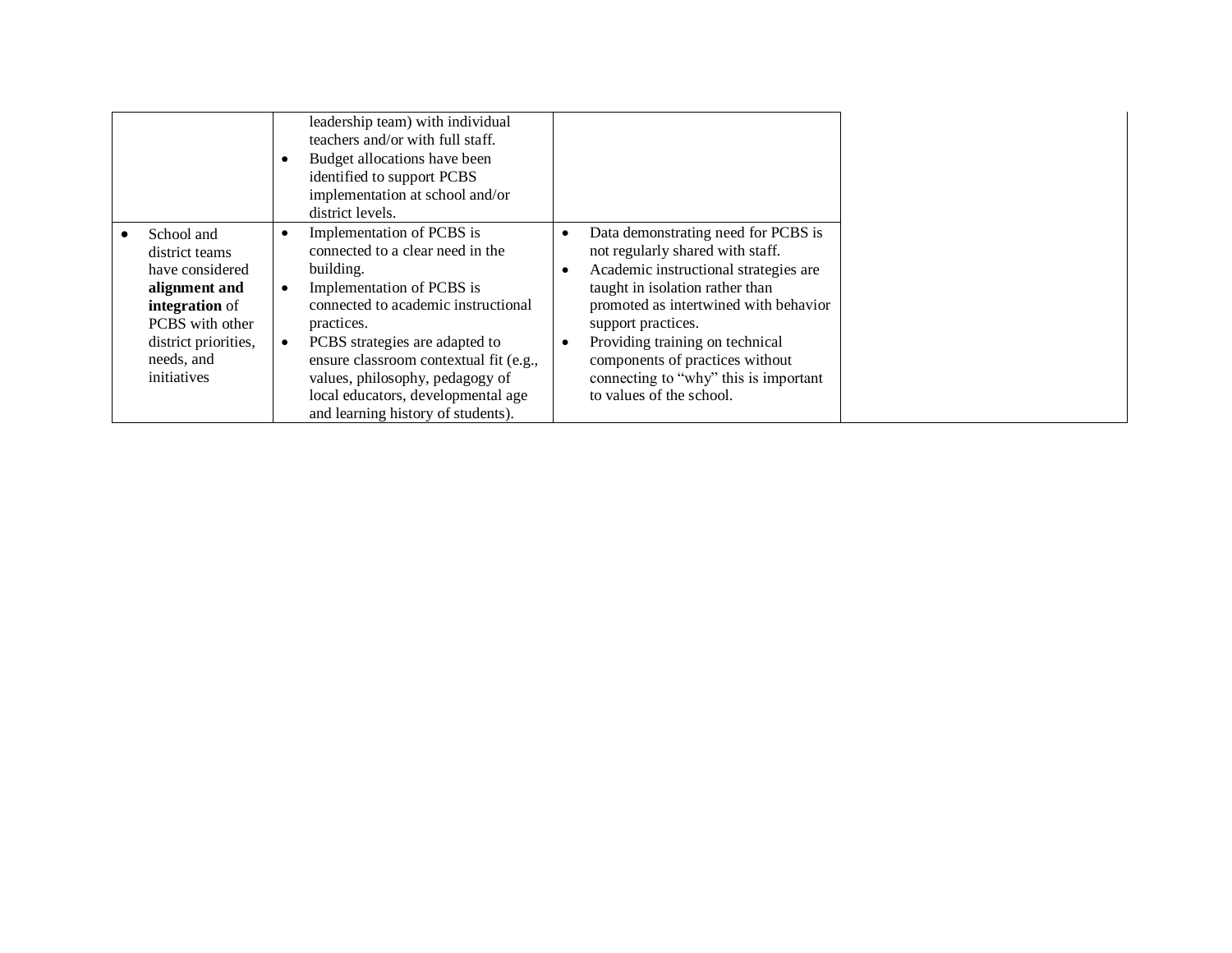<span id="page-4-0"></span>

|                                                                                                                                                                         | leadership team) with individual<br>teachers and/or with full staff.<br>Budget allocations have been<br>identified to support PCBS<br>implementation at school and/or<br>district levels.                                                                                                                                                               |                                                                                                                                                                                                                                                                                                                                                               |
|-------------------------------------------------------------------------------------------------------------------------------------------------------------------------|---------------------------------------------------------------------------------------------------------------------------------------------------------------------------------------------------------------------------------------------------------------------------------------------------------------------------------------------------------|---------------------------------------------------------------------------------------------------------------------------------------------------------------------------------------------------------------------------------------------------------------------------------------------------------------------------------------------------------------|
| School and<br>$\bullet$<br>district teams<br>have considered<br>alignment and<br>integration of<br>PCBS with other<br>district priorities,<br>needs, and<br>initiatives | Implementation of PCBS is<br>connected to a clear need in the<br>building.<br>Implementation of PCBS is<br>connected to academic instructional<br>practices.<br>PCBS strategies are adapted to<br>ensure classroom contextual fit (e.g.,<br>values, philosophy, pedagogy of<br>local educators, developmental age<br>and learning history of students). | Data demonstrating need for PCBS is<br>not regularly shared with staff.<br>Academic instructional strategies are<br>taught in isolation rather than<br>promoted as intertwined with behavior<br>support practices.<br>Providing training on technical<br>components of practices without<br>connecting to "why" this is important<br>to values of the school. |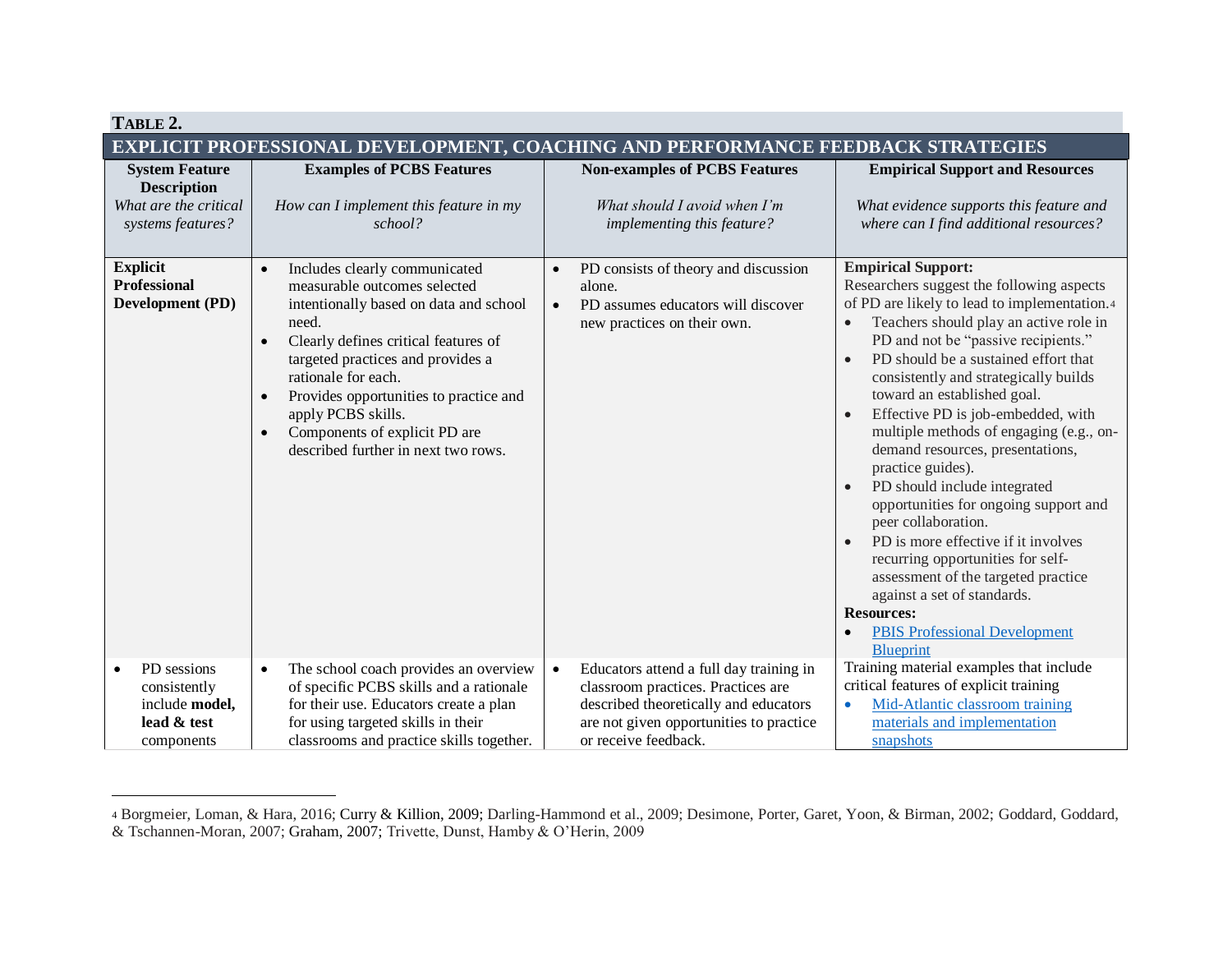| TABLE 2.                                                                                  |                                                                                                                                                                                                                                                                                                                                                                                                     |                                                                                                                                                                                                        |                                                                                                                                                                                                                                                                                                                                                                                                                                                                                                                                                                                                                                                                                                                                                                                                                                                                                    |  |  |  |
|-------------------------------------------------------------------------------------------|-----------------------------------------------------------------------------------------------------------------------------------------------------------------------------------------------------------------------------------------------------------------------------------------------------------------------------------------------------------------------------------------------------|--------------------------------------------------------------------------------------------------------------------------------------------------------------------------------------------------------|------------------------------------------------------------------------------------------------------------------------------------------------------------------------------------------------------------------------------------------------------------------------------------------------------------------------------------------------------------------------------------------------------------------------------------------------------------------------------------------------------------------------------------------------------------------------------------------------------------------------------------------------------------------------------------------------------------------------------------------------------------------------------------------------------------------------------------------------------------------------------------|--|--|--|
| EXPLICIT PROFESSIONAL DEVELOPMENT, COACHING AND PERFORMANCE FEEDBACK STRATEGIES           |                                                                                                                                                                                                                                                                                                                                                                                                     |                                                                                                                                                                                                        |                                                                                                                                                                                                                                                                                                                                                                                                                                                                                                                                                                                                                                                                                                                                                                                                                                                                                    |  |  |  |
| <b>System Feature</b><br><b>Description</b><br>What are the critical<br>systems features? | <b>Examples of PCBS Features</b><br>How can I implement this feature in my<br>school?                                                                                                                                                                                                                                                                                                               | <b>Non-examples of PCBS Features</b><br>What should I avoid when I'm<br>implementing this feature?                                                                                                     | <b>Empirical Support and Resources</b><br>What evidence supports this feature and<br>where can I find additional resources?                                                                                                                                                                                                                                                                                                                                                                                                                                                                                                                                                                                                                                                                                                                                                        |  |  |  |
| <b>Explicit</b><br><b>Professional</b><br>Development (PD)                                | Includes clearly communicated<br>measurable outcomes selected<br>intentionally based on data and school<br>need.<br>Clearly defines critical features of<br>$\bullet$<br>targeted practices and provides a<br>rationale for each.<br>Provides opportunities to practice and<br>$\bullet$<br>apply PCBS skills.<br>Components of explicit PD are<br>$\bullet$<br>described further in next two rows. | PD consists of theory and discussion<br>$\bullet$<br>alone.<br>PD assumes educators will discover<br>$\bullet$<br>new practices on their own.                                                          | <b>Empirical Support:</b><br>Researchers suggest the following aspects<br>of PD are likely to lead to implementation.4<br>Teachers should play an active role in<br>$\bullet$<br>PD and not be "passive recipients."<br>PD should be a sustained effort that<br>$\bullet$<br>consistently and strategically builds<br>toward an established goal.<br>Effective PD is job-embedded, with<br>$\bullet$<br>multiple methods of engaging (e.g., on-<br>demand resources, presentations,<br>practice guides).<br>PD should include integrated<br>$\bullet$<br>opportunities for ongoing support and<br>peer collaboration.<br>PD is more effective if it involves<br>$\bullet$<br>recurring opportunities for self-<br>assessment of the targeted practice<br>against a set of standards.<br><b>Resources:</b><br><b>PBIS Professional Development</b><br>$\bullet$<br><b>Blueprint</b> |  |  |  |
| PD sessions<br>$\bullet$<br>consistently<br>include model,<br>lead & test<br>components   | The school coach provides an overview<br>$\bullet$<br>of specific PCBS skills and a rationale<br>for their use. Educators create a plan<br>for using targeted skills in their<br>classrooms and practice skills together.                                                                                                                                                                           | Educators attend a full day training in<br>$\bullet$<br>classroom practices. Practices are<br>described theoretically and educators<br>are not given opportunities to practice<br>or receive feedback. | Training material examples that include<br>critical features of explicit training<br>Mid-Atlantic classroom training<br>$\bullet$<br>materials and implementation<br>snapshots                                                                                                                                                                                                                                                                                                                                                                                                                                                                                                                                                                                                                                                                                                     |  |  |  |

<sup>4</sup> Borgmeier, Loman, & Hara, 2016; Curry & Killion, 2009; Darling-Hammond et al., 2009; Desimone, Porter, Garet, Yoon, & Birman, 2002; Goddard, Goddard, & Tschannen-Moran, 2007; Graham, 2007; Trivette, Dunst, Hamby & O'Herin, 2009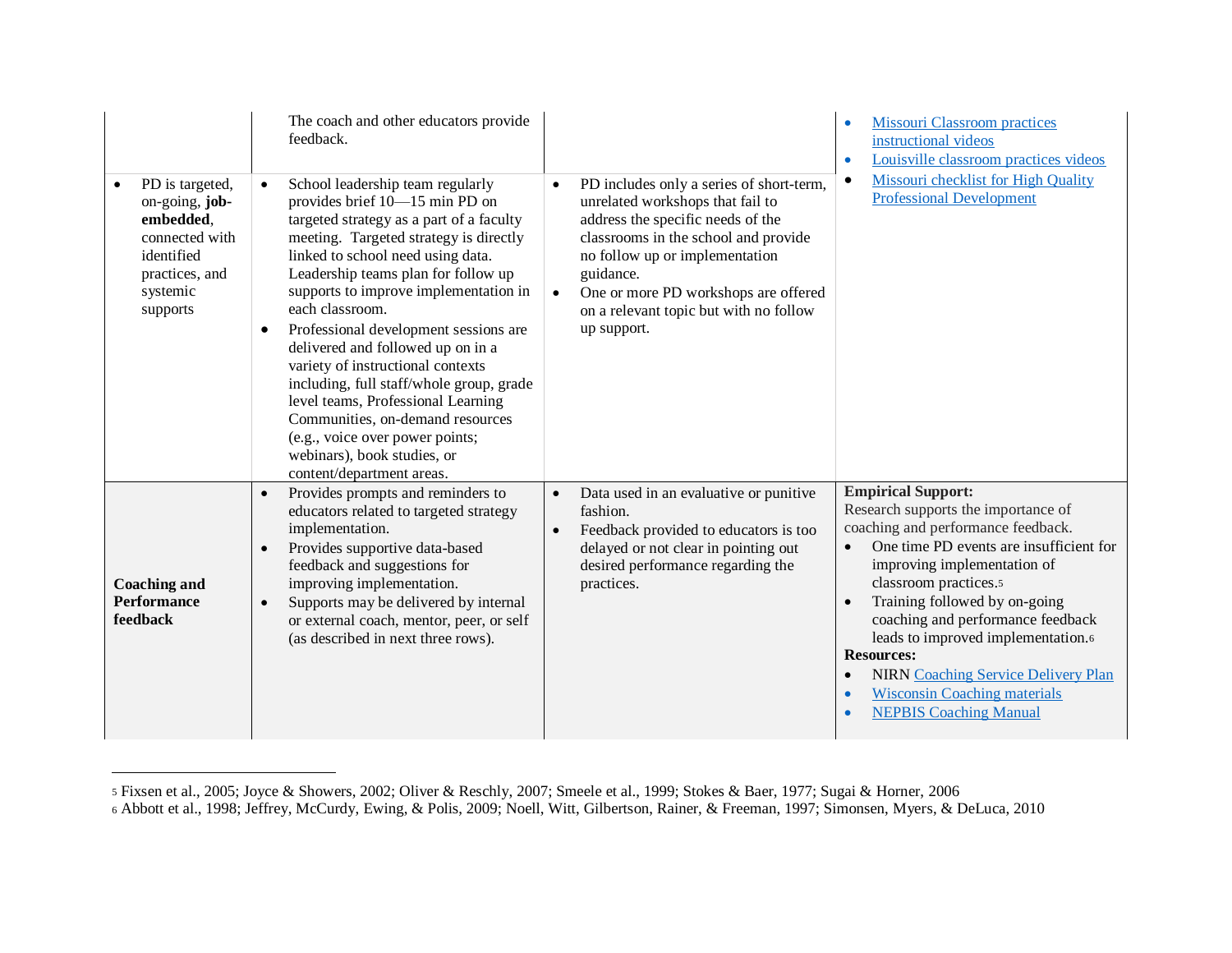| PD is targeted,<br>on-going, job-<br>embedded,<br>connected with<br>identified<br>practices, and<br>systemic<br>supports | The coach and other educators provide<br>feedback.<br>School leadership team regularly<br>provides brief 10-15 min PD on<br>targeted strategy as a part of a faculty<br>meeting. Targeted strategy is directly<br>linked to school need using data.<br>Leadership teams plan for follow up<br>supports to improve implementation in<br>each classroom.<br>Professional development sessions are<br>$\bullet$<br>delivered and followed up on in a<br>variety of instructional contexts<br>including, full staff/whole group, grade<br>level teams, Professional Learning<br>Communities, on-demand resources<br>(e.g., voice over power points;<br>webinars), book studies, or<br>content/department areas. | PD includes only a series of short-term,<br>unrelated workshops that fail to<br>address the specific needs of the<br>classrooms in the school and provide<br>no follow up or implementation<br>guidance.<br>One or more PD workshops are offered<br>$\bullet$<br>on a relevant topic but with no follow<br>up support. | <b>Missouri Classroom practices</b><br>$\bullet$<br>instructional videos<br>Louisville classroom practices videos<br>$\bullet$<br>Missouri checklist for High Quality<br>$\bullet$<br><b>Professional Development</b>                                                                                                                                                                                                                                                                                   |
|--------------------------------------------------------------------------------------------------------------------------|-------------------------------------------------------------------------------------------------------------------------------------------------------------------------------------------------------------------------------------------------------------------------------------------------------------------------------------------------------------------------------------------------------------------------------------------------------------------------------------------------------------------------------------------------------------------------------------------------------------------------------------------------------------------------------------------------------------|------------------------------------------------------------------------------------------------------------------------------------------------------------------------------------------------------------------------------------------------------------------------------------------------------------------------|---------------------------------------------------------------------------------------------------------------------------------------------------------------------------------------------------------------------------------------------------------------------------------------------------------------------------------------------------------------------------------------------------------------------------------------------------------------------------------------------------------|
| <b>Coaching and</b><br><b>Performance</b><br>feedback                                                                    | Provides prompts and reminders to<br>$\bullet$<br>educators related to targeted strategy<br>implementation.<br>Provides supportive data-based<br>$\bullet$<br>feedback and suggestions for<br>improving implementation.<br>Supports may be delivered by internal<br>$\bullet$<br>or external coach, mentor, peer, or self<br>(as described in next three rows).                                                                                                                                                                                                                                                                                                                                             | Data used in an evaluative or punitive<br>fashion.<br>Feedback provided to educators is too<br>delayed or not clear in pointing out<br>desired performance regarding the<br>practices.                                                                                                                                 | <b>Empirical Support:</b><br>Research supports the importance of<br>coaching and performance feedback.<br>One time PD events are insufficient for<br>improving implementation of<br>classroom practices.5<br>Training followed by on-going<br>$\bullet$<br>coaching and performance feedback<br>leads to improved implementation.6<br><b>Resources:</b><br><b>NIRN Coaching Service Delivery Plan</b><br>$\bullet$<br><b>Wisconsin Coaching materials</b><br>$\bullet$<br><b>NEPBIS Coaching Manual</b> |

<sup>5</sup> Fixsen et al., 2005; Joyce & Showers, 2002; Oliver & Reschly, 2007; Smeele et al., 1999; Stokes & Baer, 1977; Sugai & Horner, 2006

<sup>6</sup> Abbott et al., 1998; Jeffrey, McCurdy, Ewing, & Polis, 2009; Noell, Witt, Gilbertson, Rainer, & Freeman, 1997; Simonsen, Myers, & DeLuca, 2010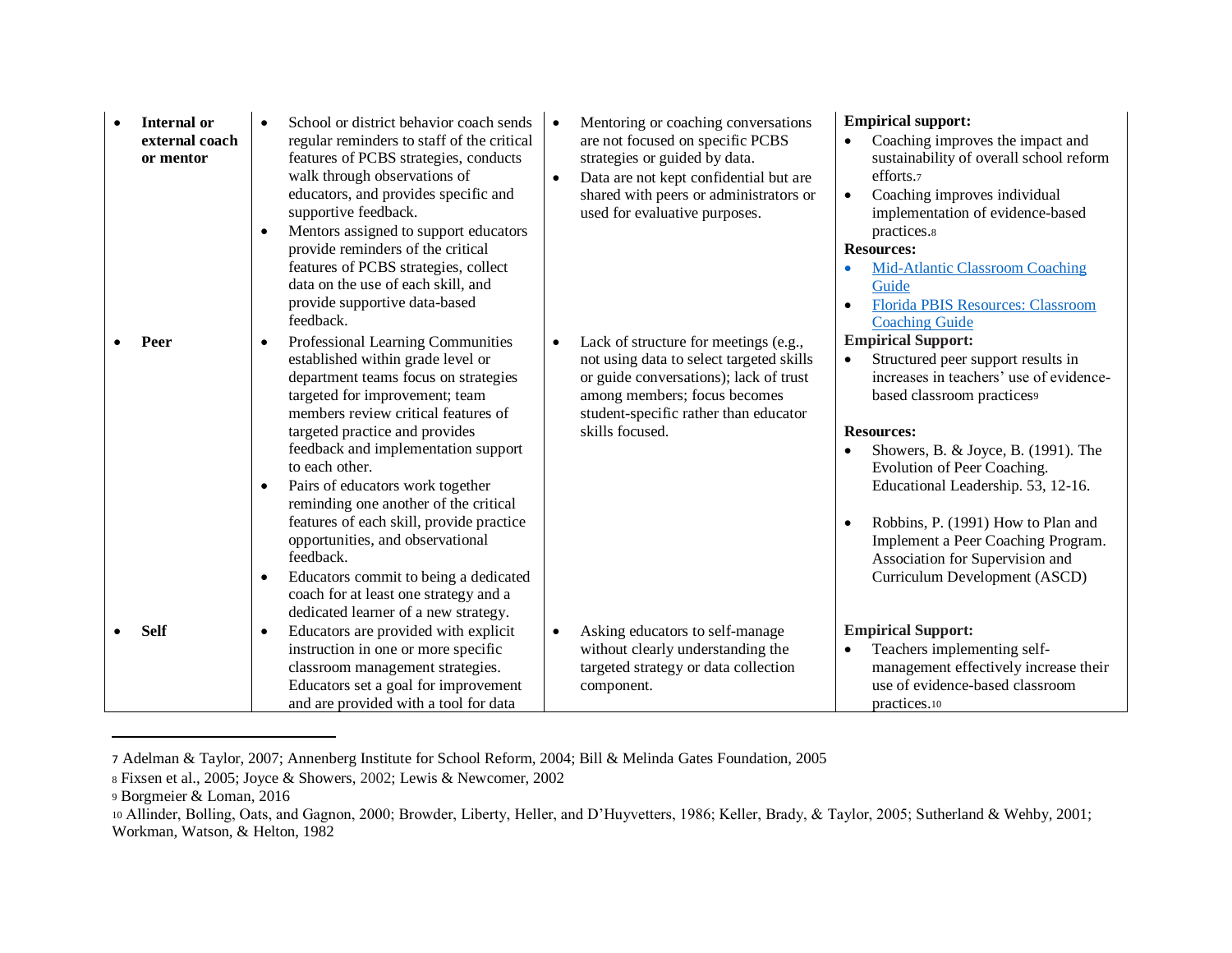| <b>Internal or</b><br>external coach<br>or mentor | School or district behavior coach sends<br>regular reminders to staff of the critical<br>features of PCBS strategies, conducts<br>walk through observations of<br>educators, and provides specific and<br>supportive feedback.<br>Mentors assigned to support educators<br>$\bullet$<br>provide reminders of the critical<br>features of PCBS strategies, collect<br>data on the use of each skill, and | Mentoring or coaching conversations<br>are not focused on specific PCBS<br>strategies or guided by data.<br>Data are not kept confidential but are<br>$\bullet$<br>shared with peers or administrators or<br>used for evaluative purposes. | <b>Empirical support:</b><br>Coaching improves the impact and<br>$\bullet$<br>sustainability of overall school reform<br>efforts.7<br>Coaching improves individual<br>$\bullet$<br>implementation of evidence-based<br>practices.8<br><b>Resources:</b><br><b>Mid-Atlantic Classroom Coaching</b><br>Guide |
|---------------------------------------------------|---------------------------------------------------------------------------------------------------------------------------------------------------------------------------------------------------------------------------------------------------------------------------------------------------------------------------------------------------------------------------------------------------------|--------------------------------------------------------------------------------------------------------------------------------------------------------------------------------------------------------------------------------------------|------------------------------------------------------------------------------------------------------------------------------------------------------------------------------------------------------------------------------------------------------------------------------------------------------------|
| Peer                                              | provide supportive data-based<br>feedback.<br>Professional Learning Communities<br>$\bullet$<br>established within grade level or<br>department teams focus on strategies<br>targeted for improvement; team<br>members review critical features of<br>targeted practice and provides                                                                                                                    | Lack of structure for meetings (e.g.,<br>$\bullet$<br>not using data to select targeted skills<br>or guide conversations); lack of trust<br>among members; focus becomes<br>student-specific rather than educator<br>skills focused.       | Florida PBIS Resources: Classroom<br>$\bullet$<br><b>Coaching Guide</b><br><b>Empirical Support:</b><br>Structured peer support results in<br>$\bullet$<br>increases in teachers' use of evidence-<br>based classroom practices9<br><b>Resources:</b>                                                      |
|                                                   | feedback and implementation support<br>to each other.<br>Pairs of educators work together<br>$\bullet$<br>reminding one another of the critical<br>features of each skill, provide practice<br>opportunities, and observational<br>feedback.<br>Educators commit to being a dedicated<br>$\bullet$<br>coach for at least one strategy and a                                                             |                                                                                                                                                                                                                                            | Showers, B. & Joyce, B. (1991). The<br>$\bullet$<br>Evolution of Peer Coaching.<br>Educational Leadership. 53, 12-16.<br>Robbins, P. (1991) How to Plan and<br>$\bullet$<br>Implement a Peer Coaching Program.<br>Association for Supervision and<br>Curriculum Development (ASCD)                         |
| <b>Self</b>                                       | dedicated learner of a new strategy.<br>Educators are provided with explicit<br>$\bullet$<br>instruction in one or more specific<br>classroom management strategies.<br>Educators set a goal for improvement<br>and are provided with a tool for data                                                                                                                                                   | Asking educators to self-manage<br>$\bullet$<br>without clearly understanding the<br>targeted strategy or data collection<br>component.                                                                                                    | <b>Empirical Support:</b><br>Teachers implementing self-<br>management effectively increase their<br>use of evidence-based classroom<br>practices.10                                                                                                                                                       |

<sup>7</sup> Adelman & Taylor, 2007; Annenberg Institute for School Reform, 2004; Bill & Melinda Gates Foundation, 2005

<sup>8</sup> Fixsen et al., 2005; Joyce & Showers, 2002; Lewis & Newcomer, 2002

<sup>9</sup> Borgmeier & Loman, 2016

<sup>10</sup> Allinder, Bolling, Oats, and Gagnon, 2000; Browder, Liberty, Heller, and D'Huyvetters, 1986; Keller, Brady, & Taylor, 2005; Sutherland & Wehby, 2001; Workman, Watson, & Helton, 1982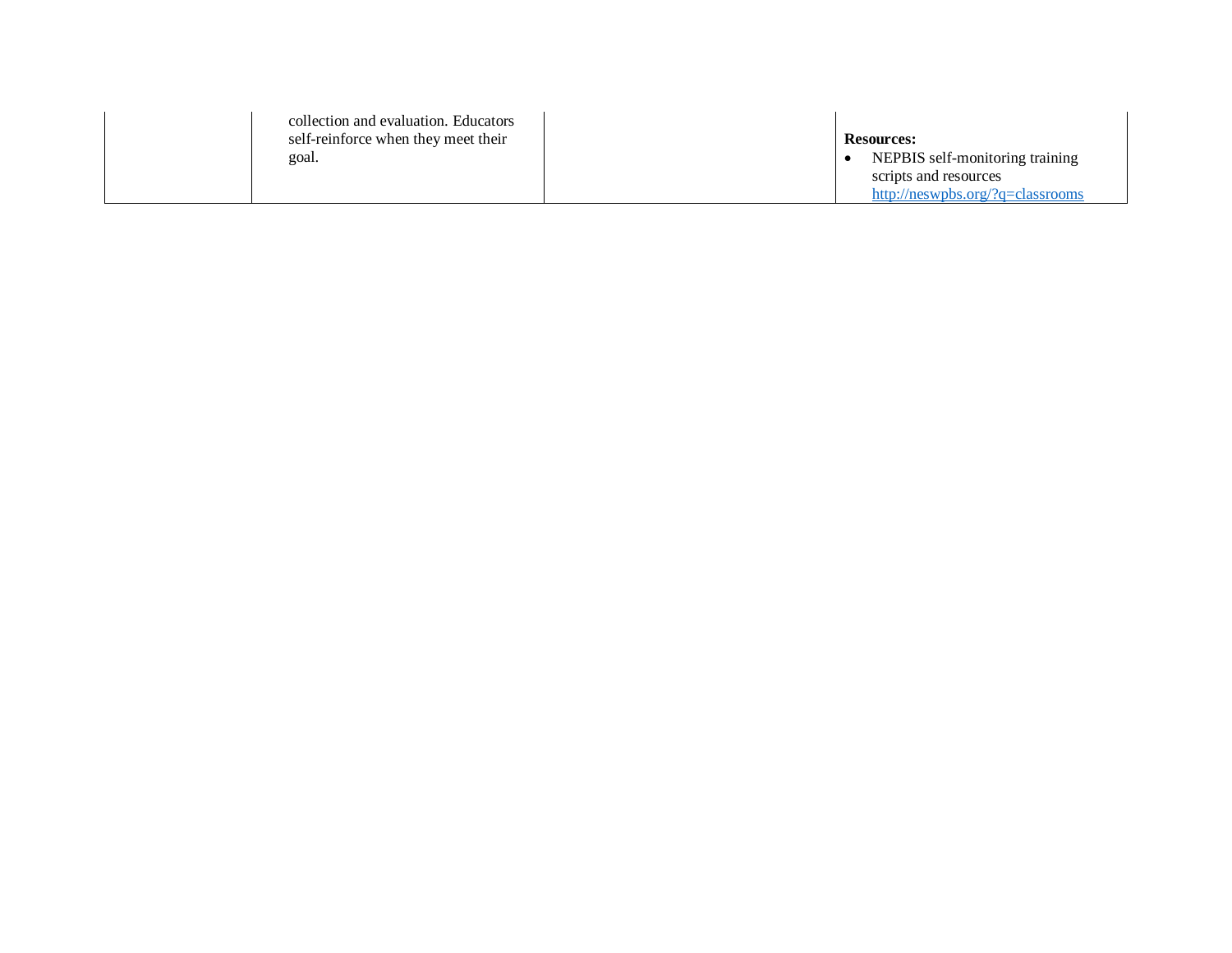| collection and evaluation. Educators<br>self-reinforce when they meet their | <b>Resources:</b>                |
|-----------------------------------------------------------------------------|----------------------------------|
| goal.                                                                       | NEPBIS self-monitoring training  |
|                                                                             | scripts and resources            |
|                                                                             | http://neswpbs.org/?q=classrooms |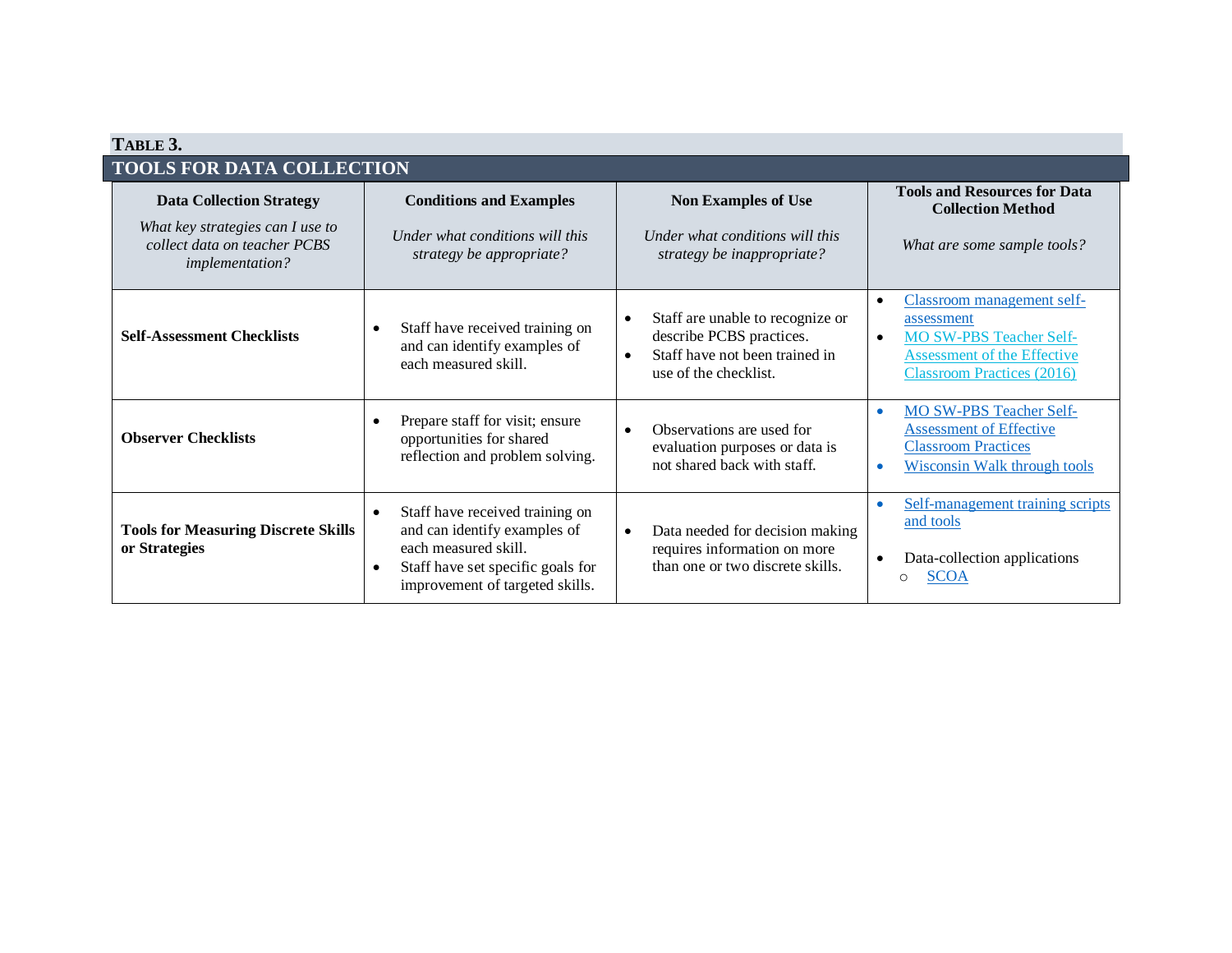<span id="page-9-0"></span>

| TABLE 3.                                                                                   |                                                                                                                                                                                           |                                                                                                                                                   |                                                                                                                                                                                 |  |  |  |  |
|--------------------------------------------------------------------------------------------|-------------------------------------------------------------------------------------------------------------------------------------------------------------------------------------------|---------------------------------------------------------------------------------------------------------------------------------------------------|---------------------------------------------------------------------------------------------------------------------------------------------------------------------------------|--|--|--|--|
|                                                                                            | <b>TOOLS FOR DATA COLLECTION</b>                                                                                                                                                          |                                                                                                                                                   |                                                                                                                                                                                 |  |  |  |  |
| <b>Data Collection Strategy</b>                                                            | <b>Conditions and Examples</b>                                                                                                                                                            | <b>Non Examples of Use</b>                                                                                                                        | <b>Tools and Resources for Data</b><br><b>Collection Method</b>                                                                                                                 |  |  |  |  |
| What key strategies can I use to<br>collect data on teacher PCBS<br><i>implementation?</i> | Under what conditions will this<br>strategy be appropriate?                                                                                                                               | Under what conditions will this<br>strategy be inappropriate?                                                                                     | What are some sample tools?                                                                                                                                                     |  |  |  |  |
| <b>Self-Assessment Checklists</b>                                                          | Staff have received training on<br>$\bullet$<br>and can identify examples of<br>each measured skill.                                                                                      | Staff are unable to recognize or<br>$\bullet$<br>describe PCBS practices.<br>Staff have not been trained in<br>$\bullet$<br>use of the checklist. | Classroom management self-<br>$\bullet$<br>assessment<br><b>MO SW-PBS Teacher Self-</b><br>$\bullet$<br><b>Assessment of the Effective</b><br><b>Classroom Practices (2016)</b> |  |  |  |  |
| <b>Observer Checklists</b>                                                                 | Prepare staff for visit; ensure<br>$\bullet$<br>opportunities for shared<br>reflection and problem solving.                                                                               | Observations are used for<br>$\bullet$<br>evaluation purposes or data is<br>not shared back with staff.                                           | <b>MO SW-PBS Teacher Self-</b><br>$\bullet$<br><b>Assessment of Effective</b><br><b>Classroom Practices</b><br><b>Wisconsin Walk through tools</b>                              |  |  |  |  |
| <b>Tools for Measuring Discrete Skills</b><br>or Strategies                                | Staff have received training on<br>$\bullet$<br>and can identify examples of<br>each measured skill.<br>Staff have set specific goals for<br>$\bullet$<br>improvement of targeted skills. | Data needed for decision making<br>$\bullet$<br>requires information on more<br>than one or two discrete skills.                                  | Self-management training scripts<br>and tools<br>Data-collection applications<br><b>SCOA</b><br>O                                                                               |  |  |  |  |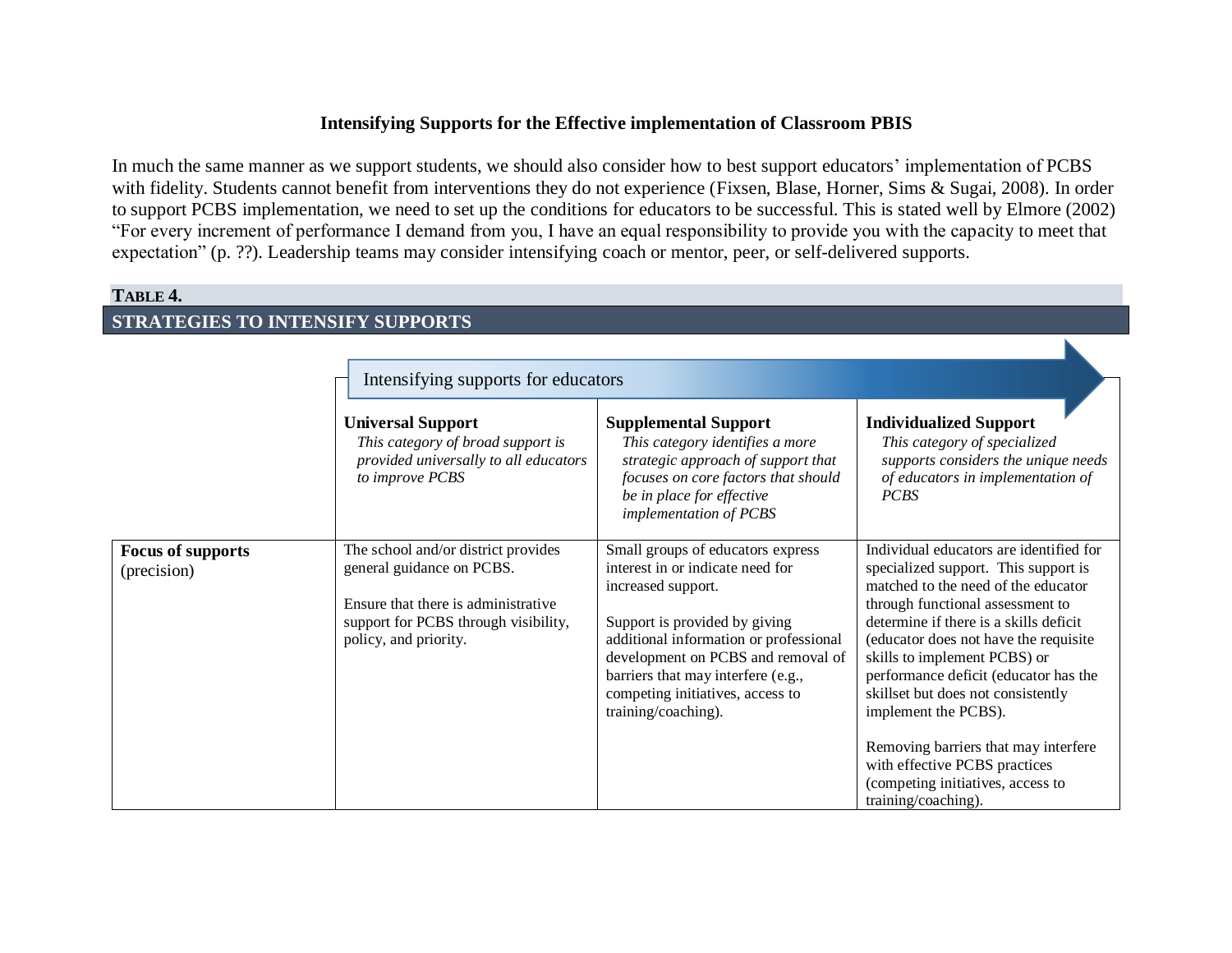# **Intensifying Supports for the Effective implementation of Classroom PBIS**

In much the same manner as we support students, we should also consider how to best support educators' implementation of PCBS with fidelity. Students cannot benefit from interventions they do not experience (Fixsen, Blase, Horner, Sims & Sugai, 2008). In order to support PCBS implementation, we need to set up the conditions for educators to be successful. This is stated well by Elmore (2002) "For every increment of performance I demand from you, I have an equal responsibility to provide you with the capacity to meet that expectation" (p. ??). Leadership teams may consider intensifying coach or mentor, peer, or self-delivered supports.

# **TABLE 4. STRATEGIES TO INTENSIFY SUPPORTS**

<span id="page-10-0"></span>

|                                         | Intensifying supports for educators                                                                                                                                       |                                                                                                                                                                                                                                                                                                               |                                                                                                                                                                                                                                                                                                                                                                                                                                                                                                                           |  |
|-----------------------------------------|---------------------------------------------------------------------------------------------------------------------------------------------------------------------------|---------------------------------------------------------------------------------------------------------------------------------------------------------------------------------------------------------------------------------------------------------------------------------------------------------------|---------------------------------------------------------------------------------------------------------------------------------------------------------------------------------------------------------------------------------------------------------------------------------------------------------------------------------------------------------------------------------------------------------------------------------------------------------------------------------------------------------------------------|--|
|                                         | <b>Universal Support</b><br>This category of broad support is<br>provided universally to all educators<br>to improve PCBS                                                 | <b>Supplemental Support</b><br>This category identifies a more<br>strategic approach of support that<br>focuses on core factors that should<br>be in place for effective<br>implementation of PCBS                                                                                                            | <b>Individualized Support</b><br>This category of specialized<br>supports considers the unique needs<br>of educators in implementation of<br><b>PCBS</b>                                                                                                                                                                                                                                                                                                                                                                  |  |
| <b>Focus of supports</b><br>(precision) | The school and/or district provides<br>general guidance on PCBS.<br>Ensure that there is administrative.<br>support for PCBS through visibility,<br>policy, and priority. | Small groups of educators express<br>interest in or indicate need for<br>increased support.<br>Support is provided by giving<br>additional information or professional<br>development on PCBS and removal of<br>barriers that may interfere (e.g.,<br>competing initiatives, access to<br>training/coaching). | Individual educators are identified for<br>specialized support. This support is<br>matched to the need of the educator<br>through functional assessment to<br>determine if there is a skills deficit<br>(educator does not have the requisite<br>skills to implement PCBS) or<br>performance deficit (educator has the<br>skillset but does not consistently<br>implement the PCBS).<br>Removing barriers that may interfere<br>with effective PCBS practices<br>(competing initiatives, access to<br>training/coaching). |  |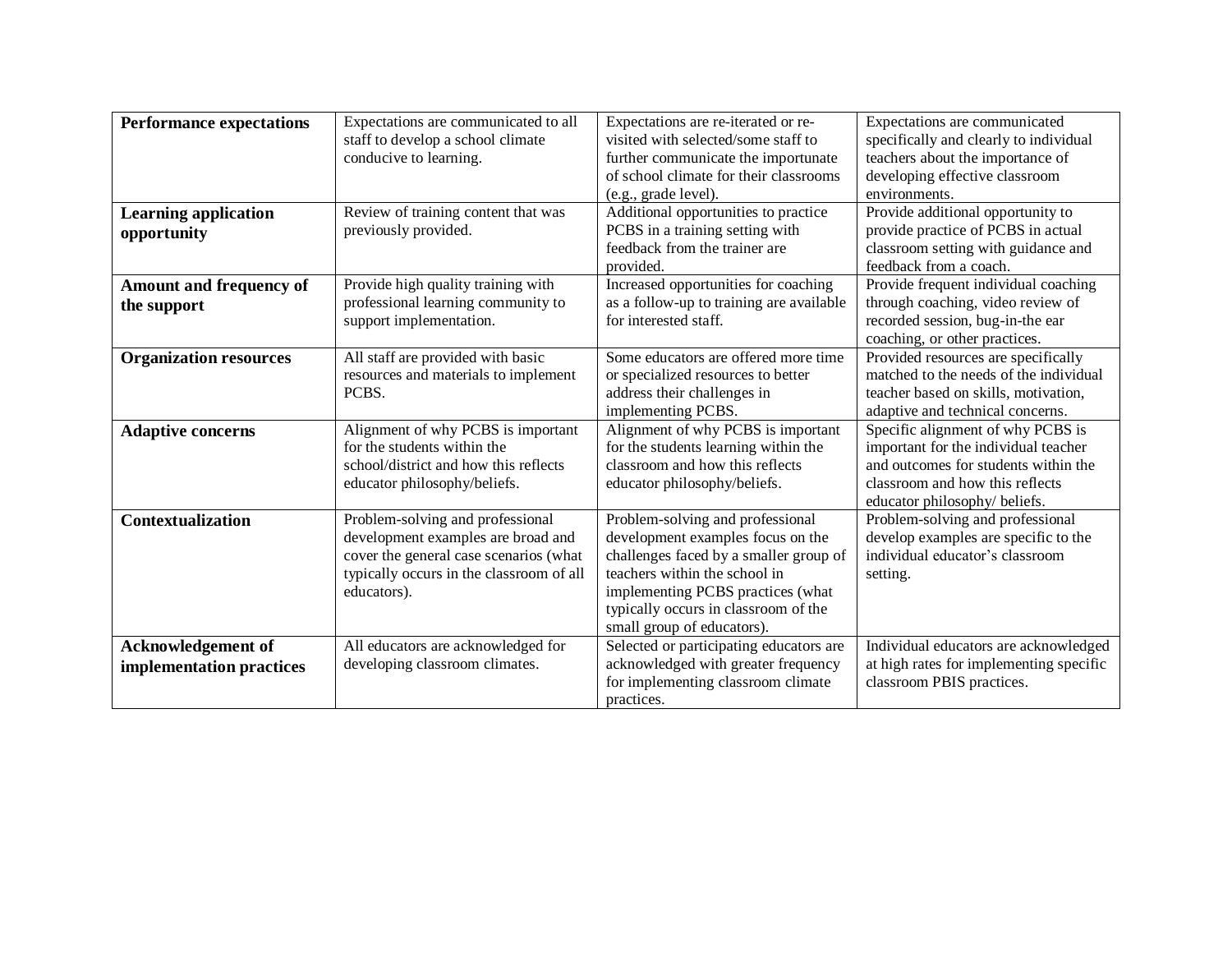| <b>Performance expectations</b> | Expectations are communicated to all     | Expectations are re-iterated or re-                                     | Expectations are communicated           |
|---------------------------------|------------------------------------------|-------------------------------------------------------------------------|-----------------------------------------|
|                                 | staff to develop a school climate        | visited with selected/some staff to                                     | specifically and clearly to individual  |
|                                 | conducive to learning.                   | further communicate the importunate<br>teachers about the importance of |                                         |
|                                 |                                          | of school climate for their classrooms                                  | developing effective classroom          |
|                                 |                                          | (e.g., grade level).                                                    | environments.                           |
| <b>Learning application</b>     | Review of training content that was      | Additional opportunities to practice                                    | Provide additional opportunity to       |
| opportunity                     | previously provided.                     | PCBS in a training setting with                                         | provide practice of PCBS in actual      |
|                                 |                                          | feedback from the trainer are                                           | classroom setting with guidance and     |
|                                 |                                          | provided.                                                               | feedback from a coach.                  |
| Amount and frequency of         | Provide high quality training with       | Increased opportunities for coaching                                    | Provide frequent individual coaching    |
| the support                     | professional learning community to       | as a follow-up to training are available                                | through coaching, video review of       |
|                                 | support implementation.                  | for interested staff.                                                   | recorded session, bug-in-the ear        |
|                                 |                                          |                                                                         | coaching, or other practices.           |
| <b>Organization resources</b>   | All staff are provided with basic        | Some educators are offered more time                                    | Provided resources are specifically     |
|                                 | resources and materials to implement     | or specialized resources to better                                      | matched to the needs of the individual  |
|                                 | PCBS.                                    | address their challenges in                                             | teacher based on skills, motivation,    |
|                                 |                                          | implementing PCBS.                                                      | adaptive and technical concerns.        |
| <b>Adaptive concerns</b>        | Alignment of why PCBS is important       | Alignment of why PCBS is important                                      | Specific alignment of why PCBS is       |
|                                 | for the students within the              | for the students learning within the                                    | important for the individual teacher    |
|                                 | school/district and how this reflects    | classroom and how this reflects                                         | and outcomes for students within the    |
|                                 | educator philosophy/beliefs.             | educator philosophy/beliefs.                                            | classroom and how this reflects         |
|                                 |                                          |                                                                         | educator philosophy/ beliefs.           |
| <b>Contextualization</b>        | Problem-solving and professional         | Problem-solving and professional                                        | Problem-solving and professional        |
|                                 | development examples are broad and       | development examples focus on the                                       | develop examples are specific to the    |
|                                 | cover the general case scenarios (what   | challenges faced by a smaller group of                                  | individual educator's classroom         |
|                                 | typically occurs in the classroom of all | teachers within the school in                                           | setting.                                |
|                                 | educators).                              | implementing PCBS practices (what                                       |                                         |
|                                 |                                          | typically occurs in classroom of the                                    |                                         |
|                                 |                                          | small group of educators).                                              |                                         |
| <b>Acknowledgement of</b>       | All educators are acknowledged for       | Selected or participating educators are                                 | Individual educators are acknowledged   |
| implementation practices        | developing classroom climates.           | acknowledged with greater frequency                                     | at high rates for implementing specific |
|                                 |                                          | for implementing classroom climate                                      | classroom PBIS practices.               |
|                                 |                                          | practices.                                                              |                                         |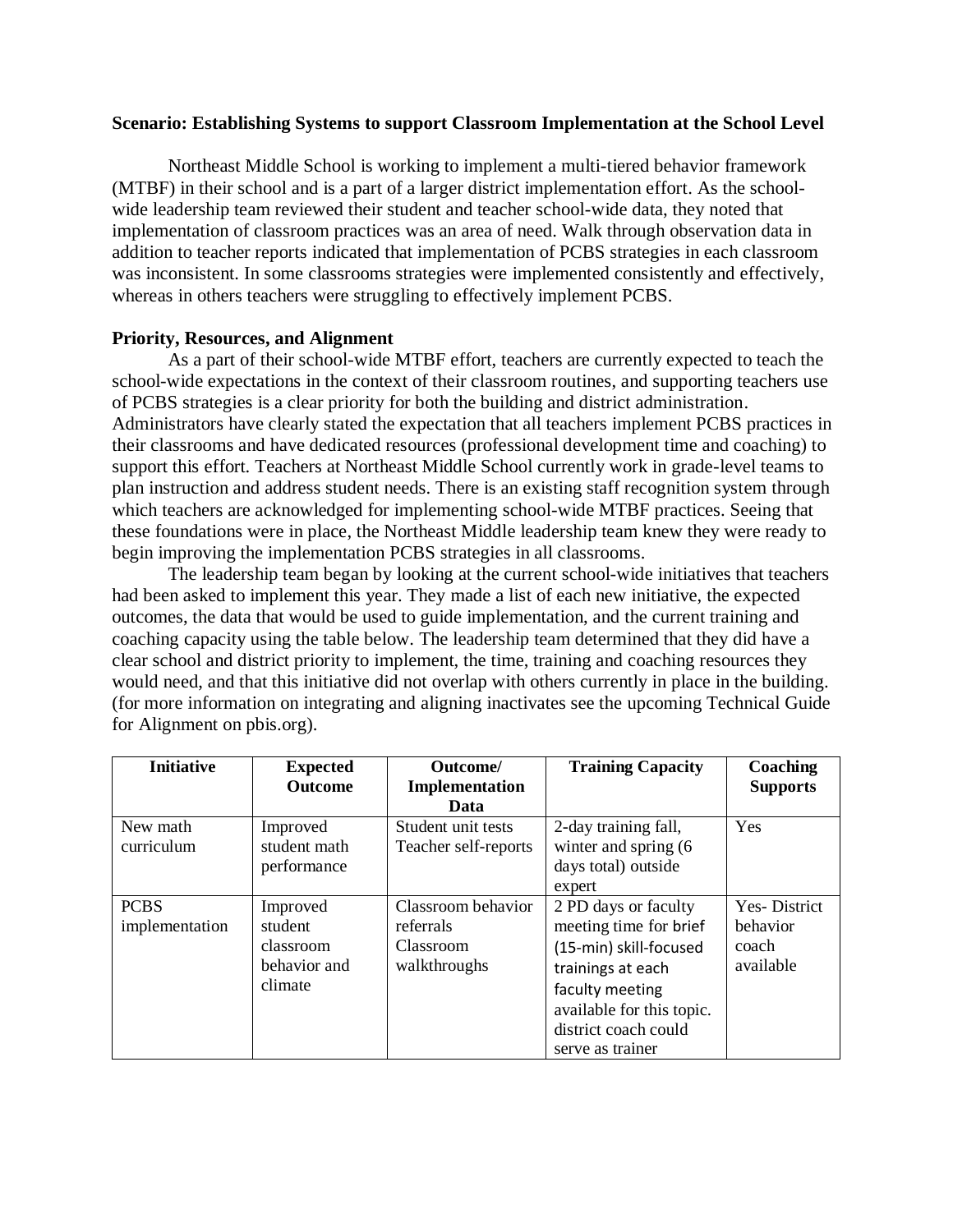#### <span id="page-12-0"></span>**Scenario: Establishing Systems to support Classroom Implementation at the School Level**

Northeast Middle School is working to implement a multi-tiered behavior framework (MTBF) in their school and is a part of a larger district implementation effort. As the schoolwide leadership team reviewed their student and teacher school-wide data, they noted that implementation of classroom practices was an area of need. Walk through observation data in addition to teacher reports indicated that implementation of PCBS strategies in each classroom was inconsistent. In some classrooms strategies were implemented consistently and effectively, whereas in others teachers were struggling to effectively implement PCBS.

#### **Priority, Resources, and Alignment**

As a part of their school-wide MTBF effort, teachers are currently expected to teach the school-wide expectations in the context of their classroom routines, and supporting teachers use of PCBS strategies is a clear priority for both the building and district administration. Administrators have clearly stated the expectation that all teachers implement PCBS practices in their classrooms and have dedicated resources (professional development time and coaching) to support this effort. Teachers at Northeast Middle School currently work in grade-level teams to plan instruction and address student needs. There is an existing staff recognition system through which teachers are acknowledged for implementing school-wide MTBF practices. Seeing that these foundations were in place, the Northeast Middle leadership team knew they were ready to begin improving the implementation PCBS strategies in all classrooms.

The leadership team began by looking at the current school-wide initiatives that teachers had been asked to implement this year. They made a list of each new initiative, the expected outcomes, the data that would be used to guide implementation, and the current training and coaching capacity using the table below. The leadership team determined that they did have a clear school and district priority to implement, the time, training and coaching resources they would need, and that this initiative did not overlap with others currently in place in the building. (for more information on integrating and aligning inactivates see the upcoming Technical Guide for Alignment on pbis.org).

| <b>Initiative</b> | <b>Expected</b><br><b>Outcome</b> | Outcome/<br>Implementation | <b>Training Capacity</b>  | Coaching<br><b>Supports</b> |
|-------------------|-----------------------------------|----------------------------|---------------------------|-----------------------------|
|                   |                                   | Data                       |                           |                             |
| New math          | Improved                          | Student unit tests         | 2-day training fall,      | Yes                         |
| curriculum        | student math                      | Teacher self-reports       | winter and spring (6      |                             |
|                   | performance                       |                            | days total) outside       |                             |
|                   |                                   |                            | expert                    |                             |
| <b>PCBS</b>       | Improved                          | Classroom behavior         | 2 PD days or faculty      | Yes-District                |
| implementation    | student                           | referrals                  | meeting time for brief    | behavior                    |
|                   | classroom                         | Classroom                  | (15-min) skill-focused    | coach                       |
|                   | behavior and                      | walkthroughs               | trainings at each         | available                   |
|                   | climate                           |                            | faculty meeting           |                             |
|                   |                                   |                            | available for this topic. |                             |
|                   |                                   |                            | district coach could      |                             |
|                   |                                   |                            | serve as trainer          |                             |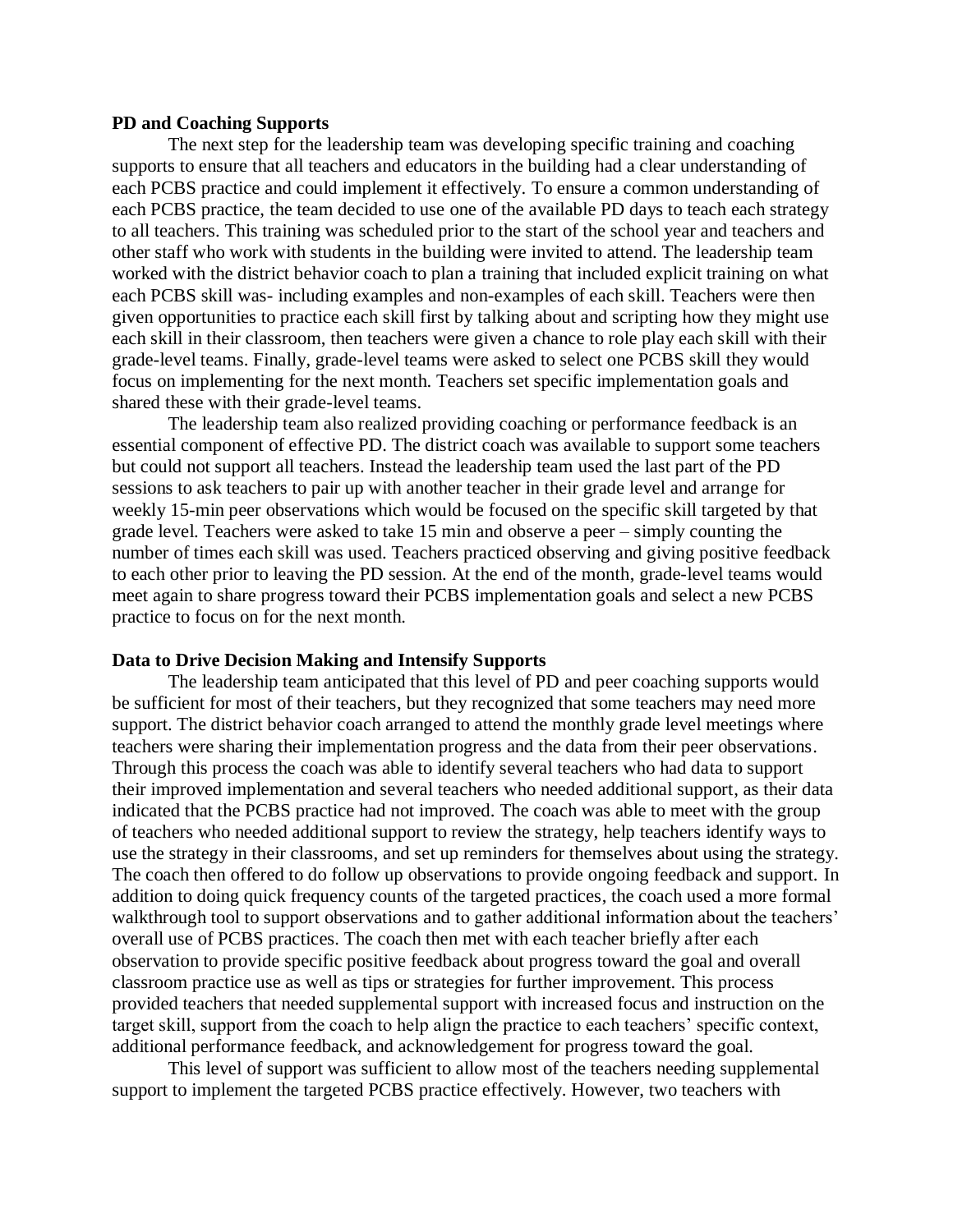#### **PD and Coaching Supports**

The next step for the leadership team was developing specific training and coaching supports to ensure that all teachers and educators in the building had a clear understanding of each PCBS practice and could implement it effectively. To ensure a common understanding of each PCBS practice, the team decided to use one of the available PD days to teach each strategy to all teachers. This training was scheduled prior to the start of the school year and teachers and other staff who work with students in the building were invited to attend. The leadership team worked with the district behavior coach to plan a training that included explicit training on what each PCBS skill was- including examples and non-examples of each skill. Teachers were then given opportunities to practice each skill first by talking about and scripting how they might use each skill in their classroom, then teachers were given a chance to role play each skill with their grade-level teams. Finally, grade-level teams were asked to select one PCBS skill they would focus on implementing for the next month. Teachers set specific implementation goals and shared these with their grade-level teams.

The leadership team also realized providing coaching or performance feedback is an essential component of effective PD. The district coach was available to support some teachers but could not support all teachers. Instead the leadership team used the last part of the PD sessions to ask teachers to pair up with another teacher in their grade level and arrange for weekly 15-min peer observations which would be focused on the specific skill targeted by that grade level. Teachers were asked to take 15 min and observe a peer – simply counting the number of times each skill was used. Teachers practiced observing and giving positive feedback to each other prior to leaving the PD session. At the end of the month, grade-level teams would meet again to share progress toward their PCBS implementation goals and select a new PCBS practice to focus on for the next month.

#### **Data to Drive Decision Making and Intensify Supports**

The leadership team anticipated that this level of PD and peer coaching supports would be sufficient for most of their teachers, but they recognized that some teachers may need more support. The district behavior coach arranged to attend the monthly grade level meetings where teachers were sharing their implementation progress and the data from their peer observations. Through this process the coach was able to identify several teachers who had data to support their improved implementation and several teachers who needed additional support, as their data indicated that the PCBS practice had not improved. The coach was able to meet with the group of teachers who needed additional support to review the strategy, help teachers identify ways to use the strategy in their classrooms, and set up reminders for themselves about using the strategy. The coach then offered to do follow up observations to provide ongoing feedback and support. In addition to doing quick frequency counts of the targeted practices, the coach used a more formal walkthrough tool to support observations and to gather additional information about the teachers' overall use of PCBS practices. The coach then met with each teacher briefly after each observation to provide specific positive feedback about progress toward the goal and overall classroom practice use as well as tips or strategies for further improvement. This process provided teachers that needed supplemental support with increased focus and instruction on the target skill, support from the coach to help align the practice to each teachers' specific context, additional performance feedback, and acknowledgement for progress toward the goal.

This level of support was sufficient to allow most of the teachers needing supplemental support to implement the targeted PCBS practice effectively. However, two teachers with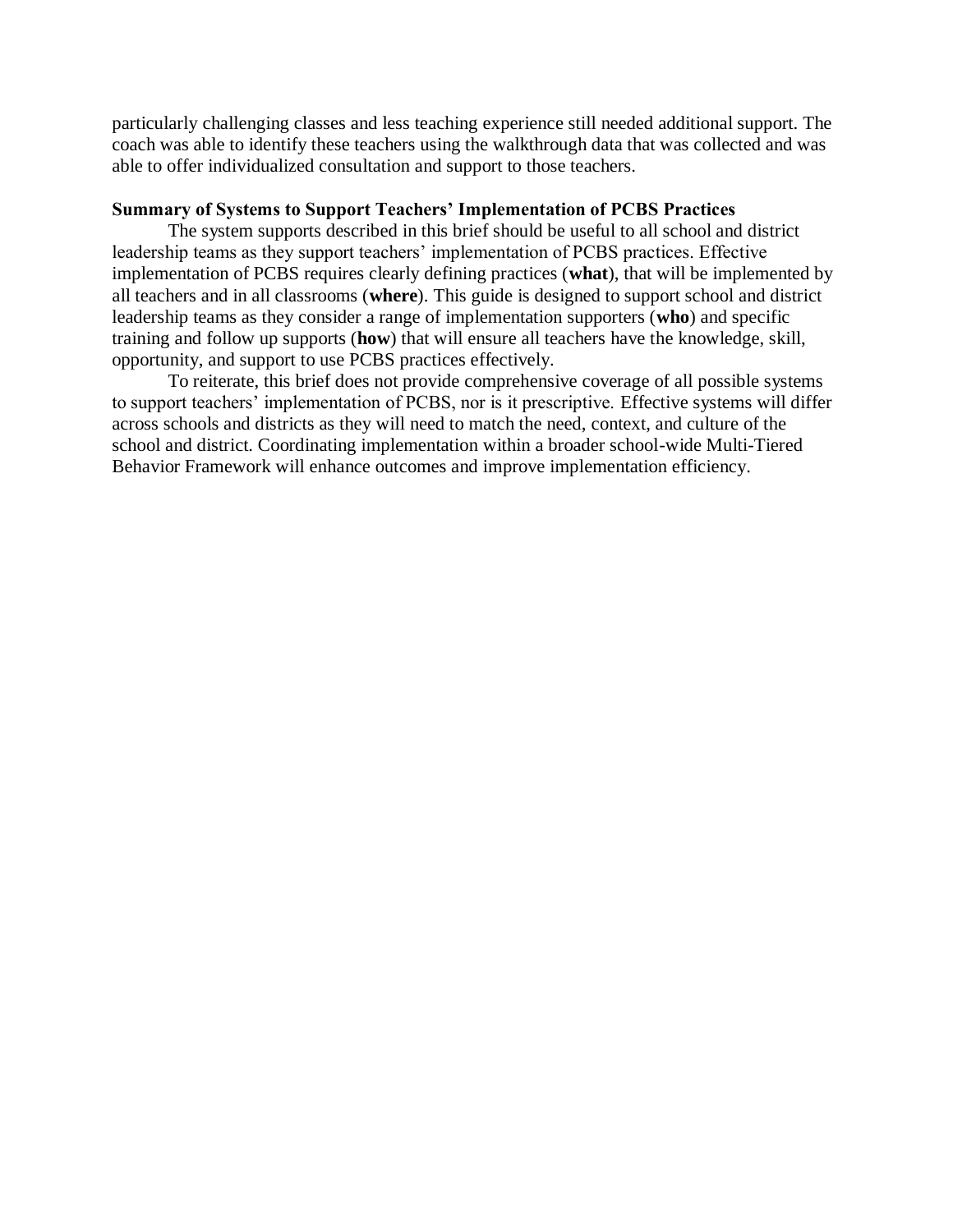particularly challenging classes and less teaching experience still needed additional support. The coach was able to identify these teachers using the walkthrough data that was collected and was able to offer individualized consultation and support to those teachers.

#### **Summary of Systems to Support Teachers' Implementation of PCBS Practices**

The system supports described in this brief should be useful to all school and district leadership teams as they support teachers' implementation of PCBS practices. Effective implementation of PCBS requires clearly defining practices (**what**), that will be implemented by all teachers and in all classrooms (**where**). This guide is designed to support school and district leadership teams as they consider a range of implementation supporters (**who**) and specific training and follow up supports (**how**) that will ensure all teachers have the knowledge, skill, opportunity, and support to use PCBS practices effectively.

To reiterate, this brief does not provide comprehensive coverage of all possible systems to support teachers' implementation of PCBS, nor is it prescriptive. Effective systems will differ across schools and districts as they will need to match the need, context, and culture of the school and district. Coordinating implementation within a broader school-wide Multi-Tiered Behavior Framework will enhance outcomes and improve implementation efficiency.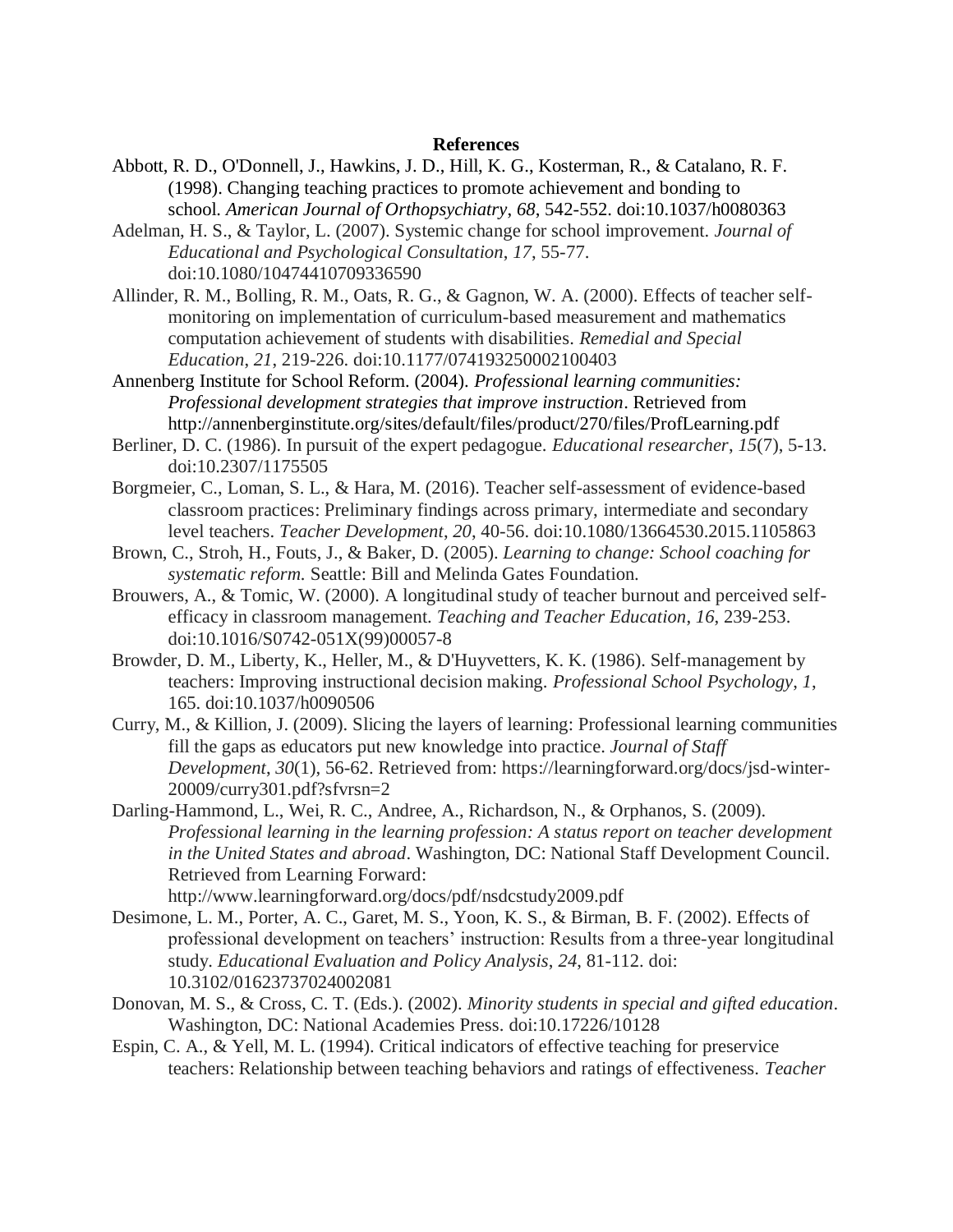#### **References**

- Abbott, R. D., O'Donnell, J., Hawkins, J. D., Hill, K. G., Kosterman, R., & Catalano, R. F. (1998). Changing teaching practices to promote achievement and bonding to school. *American Journal of Orthopsychiatry*, *68*, 542-552. doi:10.1037/h0080363
- Adelman, H. S., & Taylor, L. (2007). Systemic change for school improvement. *Journal of Educational and Psychological Consultation*, *17*, 55-77. doi:10.1080/10474410709336590
- Allinder, R. M., Bolling, R. M., Oats, R. G., & Gagnon, W. A. (2000). Effects of teacher selfmonitoring on implementation of curriculum-based measurement and mathematics computation achievement of students with disabilities. *Remedial and Special Education*, *21*, 219-226. doi:10.1177/074193250002100403
- Annenberg Institute for School Reform. (2004). *Professional learning communities: Professional development strategies that improve instruction*. Retrieved from http://annenberginstitute.org/sites/default/files/product/270/files/ProfLearning.pdf
- Berliner, D. C. (1986). In pursuit of the expert pedagogue. *Educational researcher*, *15*(7), 5-13. doi:10.2307/1175505
- Borgmeier, C., Loman, S. L., & Hara, M. (2016). Teacher self-assessment of evidence-based classroom practices: Preliminary findings across primary, intermediate and secondary level teachers. *Teacher Development*, *20*, 40-56. doi:10.1080/13664530.2015.1105863
- Brown, C., Stroh, H., Fouts, J., & Baker, D. (2005). *Learning to change: School coaching for systematic reform.* Seattle: Bill and Melinda Gates Foundation.
- Brouwers, A., & Tomic, W. (2000). A longitudinal study of teacher burnout and perceived selfefficacy in classroom management. *Teaching and Teacher Education*, *16*, 239-253. doi:10.1016/S0742-051X(99)00057-8
- Browder, D. M., Liberty, K., Heller, M., & D'Huyvetters, K. K. (1986). Self-management by teachers: Improving instructional decision making. *Professional School Psychology*, *1*, 165. doi:10.1037/h0090506
- Curry, M., & Killion, J. (2009). Slicing the layers of learning: Professional learning communities fill the gaps as educators put new knowledge into practice. *Journal of Staff Development*, *30*(1), 56-62. Retrieved from: https://learningforward.org/docs/jsd-winter-20009/curry301.pdf?sfvrsn=2
- Darling-Hammond, L., Wei, R. C., Andree, A., Richardson, N., & Orphanos, S. (2009). *Professional learning in the learning profession: A status report on teacher development in the United States and abroad*. Washington, DC: National Staff Development Council. Retrieved from Learning Forward:
	- http://www.learningforward.org/docs/pdf/nsdcstudy2009.pdf
- Desimone, L. M., Porter, A. C., Garet, M. S., Yoon, K. S., & Birman, B. F. (2002). Effects of professional development on teachers' instruction: Results from a three-year longitudinal study. *Educational Evaluation and Policy Analysis*, *24*, 81-112. doi: 10.3102/01623737024002081
- Donovan, M. S., & Cross, C. T. (Eds.). (2002). *Minority students in special and gifted education*. Washington, DC: National Academies Press. doi:10.17226/10128
- Espin, C. A., & Yell, M. L. (1994). Critical indicators of effective teaching for preservice teachers: Relationship between teaching behaviors and ratings of effectiveness. *Teacher*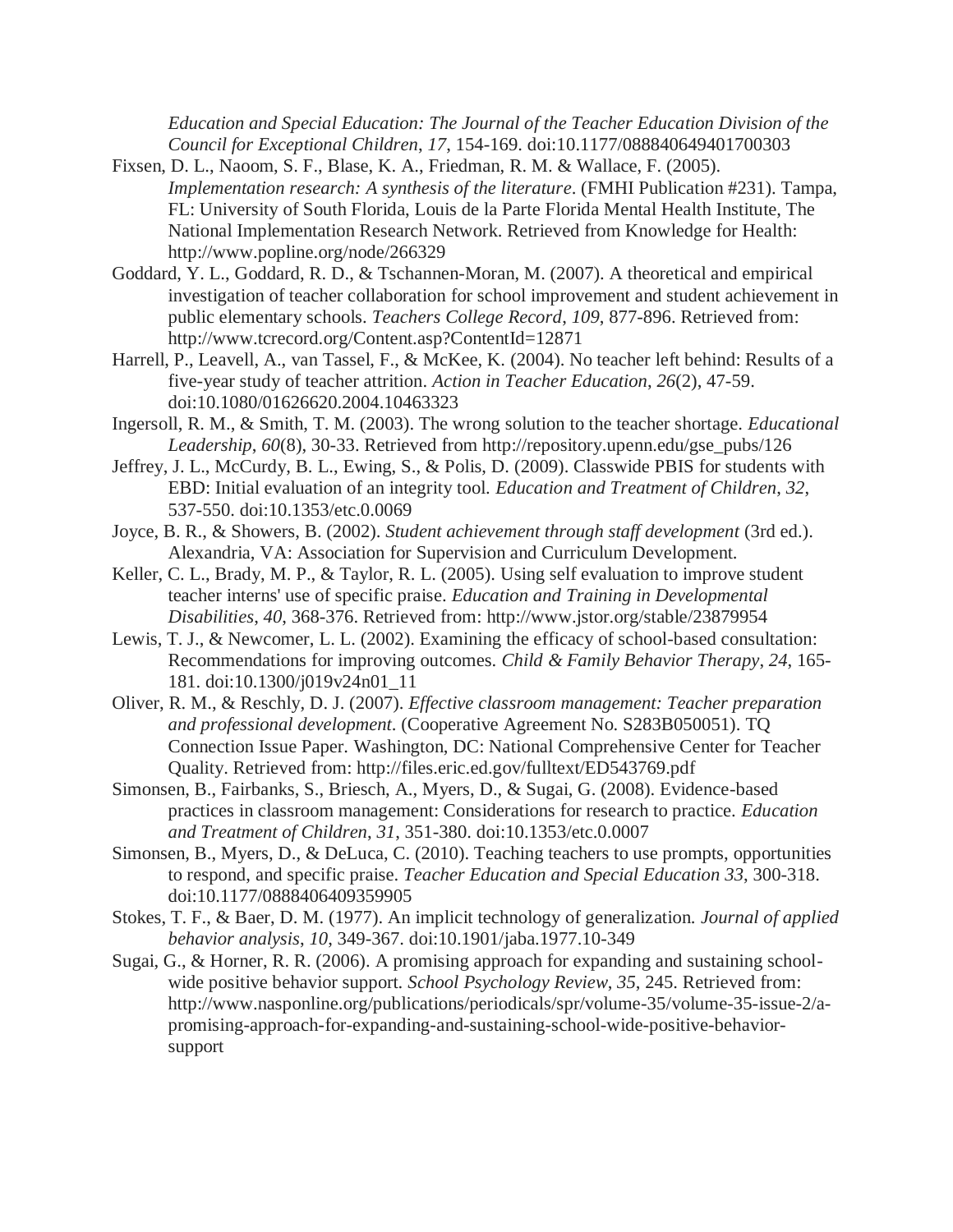*Education and Special Education: The Journal of the Teacher Education Division of the Council for Exceptional Children*, *17*, 154-169. doi:10.1177/088840649401700303

- Fixsen, D. L., Naoom, S. F., Blase, K. A., Friedman, R. M. & Wallace, F. (2005). *Implementation research: A synthesis of the literature*. (FMHI Publication #231). Tampa, FL: University of South Florida, Louis de la Parte Florida Mental Health Institute, The National Implementation Research Network. Retrieved from Knowledge for Health: http://www.popline.org/node/266329
- Goddard, Y. L., Goddard, R. D., & Tschannen-Moran, M. (2007). A theoretical and empirical investigation of teacher collaboration for school improvement and student achievement in public elementary schools. *Teachers College Record*, *109*, 877-896. Retrieved from: http://www.tcrecord.org/Content.asp?ContentId=12871
- Harrell, P., Leavell, A., van Tassel, F., & McKee, K. (2004). No teacher left behind: Results of a five-year study of teacher attrition. *Action in Teacher Education*, *26*(2), 47-59. doi:10.1080/01626620.2004.10463323
- Ingersoll, R. M., & Smith, T. M. (2003). The wrong solution to the teacher shortage. *Educational Leadership*, *60*(8), 30-33. Retrieved from http://repository.upenn.edu/gse\_pubs/126
- Jeffrey, J. L., McCurdy, B. L., Ewing, S., & Polis, D. (2009). Classwide PBIS for students with EBD: Initial evaluation of an integrity tool. *Education and Treatment of Children*, *32*, 537-550. doi:10.1353/etc.0.0069
- Joyce, B. R., & Showers, B. (2002). *Student achievement through staff development* (3rd ed.). Alexandria, VA: Association for Supervision and Curriculum Development.
- Keller, C. L., Brady, M. P., & Taylor, R. L. (2005). Using self evaluation to improve student teacher interns' use of specific praise. *Education and Training in Developmental Disabilities*, *40*, 368-376. Retrieved from: http://www.jstor.org/stable/23879954
- Lewis, T. J., & Newcomer, L. L. (2002). Examining the efficacy of school-based consultation: Recommendations for improving outcomes. *Child & Family Behavior Therapy*, *24*, 165- 181. doi:10.1300/j019v24n01\_11
- Oliver, R. M., & Reschly, D. J. (2007). *Effective classroom management: Teacher preparation and professional development*. (Cooperative Agreement No. S283B050051). TQ Connection Issue Paper. Washington, DC: National Comprehensive Center for Teacher Quality. Retrieved from: http://files.eric.ed.gov/fulltext/ED543769.pdf
- Simonsen, B., Fairbanks, S., Briesch, A., Myers, D., & Sugai, G. (2008). Evidence-based practices in classroom management: Considerations for research to practice. *Education and Treatment of Children*, *31*, 351-380. doi:10.1353/etc.0.0007
- Simonsen, B., Myers, D., & DeLuca, C. (2010). Teaching teachers to use prompts, opportunities to respond, and specific praise. *Teacher Education and Special Education 33*, 300-318. doi:10.1177/0888406409359905
- Stokes, T. F., & Baer, D. M. (1977). An implicit technology of generalization. *Journal of applied behavior analysis*, *10*, 349-367. doi:10.1901/jaba.1977.10-349
- Sugai, G., & Horner, R. R. (2006). A promising approach for expanding and sustaining schoolwide positive behavior support. *School Psychology Review*, *35*, 245. Retrieved from: http://www.nasponline.org/publications/periodicals/spr/volume-35/volume-35-issue-2/apromising-approach-for-expanding-and-sustaining-school-wide-positive-behaviorsupport